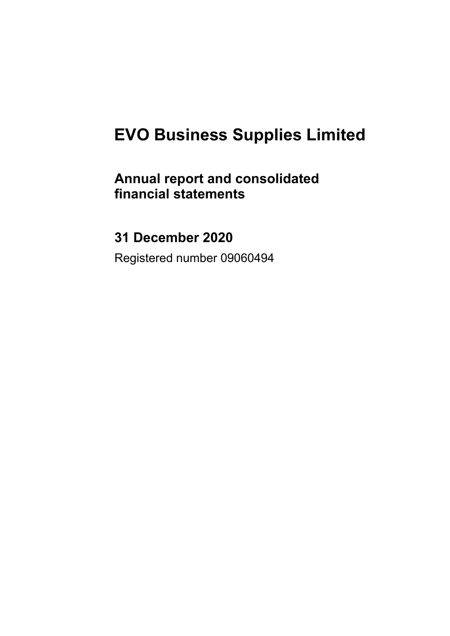# **EVO Business Supplies Limited**

**Annual report and consolidated financial statements** 

**31 December 2020**  Registered number 09060494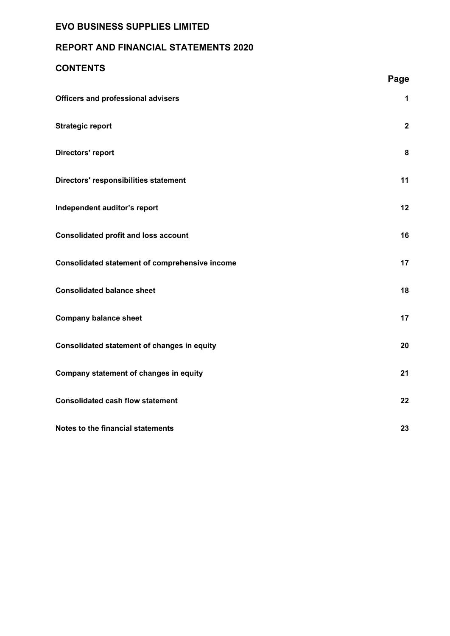# **REPORT AND FINANCIAL STATEMENTS 2020**

# **CONTENTS**

|                                                | Page         |
|------------------------------------------------|--------------|
| <b>Officers and professional advisers</b>      | $\mathbf{1}$ |
| <b>Strategic report</b>                        | $\mathbf{2}$ |
| Directors' report                              | 8            |
| Directors' responsibilities statement          | 11           |
| Independent auditor's report                   | 12           |
| <b>Consolidated profit and loss account</b>    | 16           |
| Consolidated statement of comprehensive income | 17           |
| <b>Consolidated balance sheet</b>              | 18           |
| <b>Company balance sheet</b>                   | 17           |
| Consolidated statement of changes in equity    | 20           |
| Company statement of changes in equity         | 21           |
| <b>Consolidated cash flow statement</b>        | 22           |
| Notes to the financial statements              | 23           |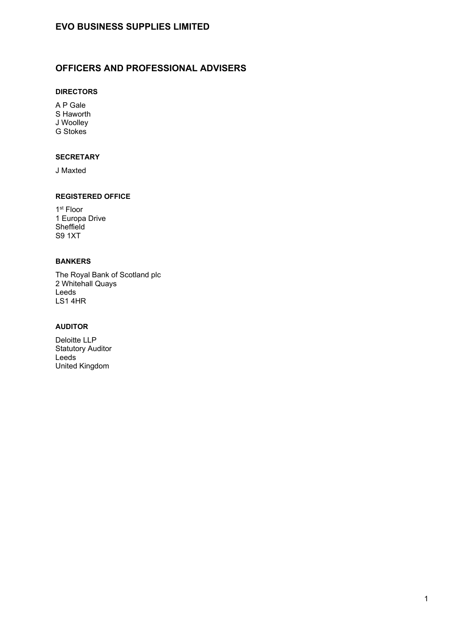# **OFFICERS AND PROFESSIONAL ADVISERS**

### **DIRECTORS**

A P Gale S Haworth J Woolley G Stokes

### **SECRETARY**

J Maxted

### **REGISTERED OFFICE**

1st Floor 1 Europa Drive **Sheffield** S9 1XT

### **BANKERS**

The Royal Bank of Scotland plc 2 Whitehall Quays Leeds LS1 4HR

### **AUDITOR**

Deloitte LLP Statutory Auditor Leeds United Kingdom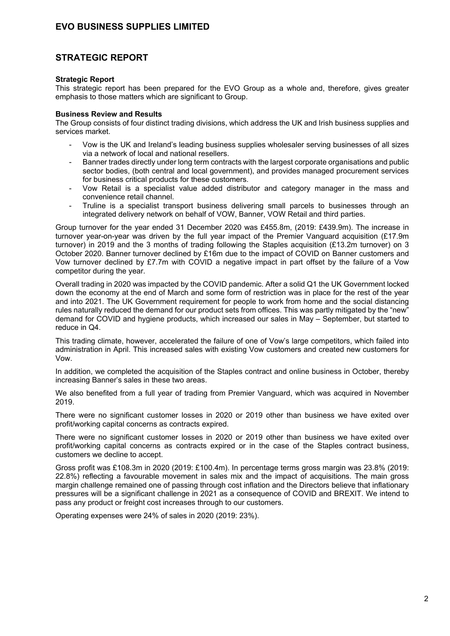### **STRATEGIC REPORT**

#### **Strategic Report**

This strategic report has been prepared for the EVO Group as a whole and, therefore, gives greater emphasis to those matters which are significant to Group.

#### **Business Review and Results**

The Group consists of four distinct trading divisions, which address the UK and Irish business supplies and services market.

- Vow is the UK and Ireland's leading business supplies wholesaler serving businesses of all sizes via a network of local and national resellers.
- Banner trades directly under long term contracts with the largest corporate organisations and public sector bodies, (both central and local government), and provides managed procurement services for business critical products for these customers.
- Vow Retail is a specialist value added distributor and category manager in the mass and convenience retail channel.
- Truline is a specialist transport business delivering small parcels to businesses through an integrated delivery network on behalf of VOW, Banner, VOW Retail and third parties.

Group turnover for the year ended 31 December 2020 was £455.8m, (2019: £439.9m). The increase in turnover year-on-year was driven by the full year impact of the Premier Vanguard acquisition (£17.9m turnover) in 2019 and the 3 months of trading following the Staples acquisition (£13.2m turnover) on 3 October 2020. Banner turnover declined by £16m due to the impact of COVID on Banner customers and Vow turnover declined by £7.7m with COVID a negative impact in part offset by the failure of a Vow competitor during the year.

Overall trading in 2020 was impacted by the COVID pandemic. After a solid Q1 the UK Government locked down the economy at the end of March and some form of restriction was in place for the rest of the year and into 2021. The UK Government requirement for people to work from home and the social distancing rules naturally reduced the demand for our product sets from offices. This was partly mitigated by the "new" demand for COVID and hygiene products, which increased our sales in May – September, but started to reduce in Q4.

This trading climate, however, accelerated the failure of one of Vow's large competitors, which failed into administration in April. This increased sales with existing Vow customers and created new customers for Vow.

In addition, we completed the acquisition of the Staples contract and online business in October, thereby increasing Banner's sales in these two areas.

We also benefited from a full year of trading from Premier Vanguard, which was acquired in November 2019.

There were no significant customer losses in 2020 or 2019 other than business we have exited over profit/working capital concerns as contracts expired.

There were no significant customer losses in 2020 or 2019 other than business we have exited over profit/working capital concerns as contracts expired or in the case of the Staples contract business, customers we decline to accept.

Gross profit was £108.3m in 2020 (2019: £100.4m). In percentage terms gross margin was 23.8% (2019: 22.8%) reflecting a favourable movement in sales mix and the impact of acquisitions. The main gross margin challenge remained one of passing through cost inflation and the Directors believe that inflationary pressures will be a significant challenge in 2021 as a consequence of COVID and BREXIT. We intend to pass any product or freight cost increases through to our customers.

Operating expenses were 24% of sales in 2020 (2019: 23%).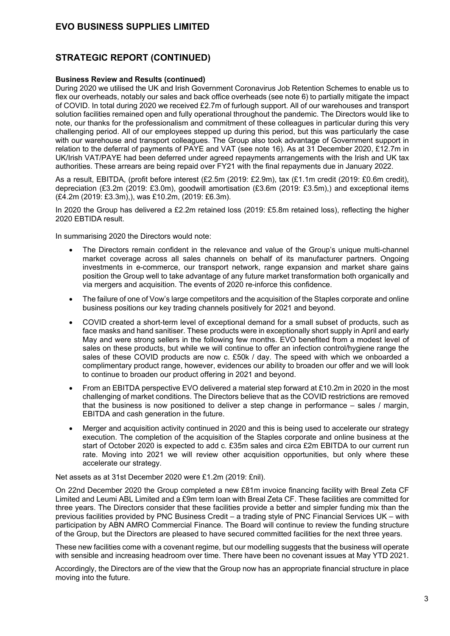# **STRATEGIC REPORT (CONTINUED)**

#### **Business Review and Results (continued)**

During 2020 we utilised the UK and Irish Government Coronavirus Job Retention Schemes to enable us to flex our overheads, notably our sales and back office overheads (see note 6) to partially mitigate the impact of COVID. In total during 2020 we received £2.7m of furlough support. All of our warehouses and transport solution facilities remained open and fully operational throughout the pandemic. The Directors would like to note, our thanks for the professionalism and commitment of these colleagues in particular during this very challenging period. All of our employees stepped up during this period, but this was particularly the case with our warehouse and transport colleagues. The Group also took advantage of Government support in relation to the deferral of payments of PAYE and VAT (see note 16). As at 31 December 2020, £12.7m in UK/Irish VAT/PAYE had been deferred under agreed repayments arrangements with the Irish and UK tax authorities. These arrears are being repaid over FY21 with the final repayments due in January 2022.

As a result, EBITDA, (profit before interest (£2.5m (2019: £2.9m), tax (£1.1m credit (2019: £0.6m credit), depreciation (£3.2m (2019: £3.0m), goodwill amortisation (£3.6m (2019: £3.5m),) and exceptional items (£4.2m (2019: £3.3m),), was £10.2m, (2019: £6.3m).

In 2020 the Group has delivered a £2.2m retained loss (2019: £5.8m retained loss), reflecting the higher 2020 EBTIDA result.

In summarising 2020 the Directors would note:

- The Directors remain confident in the relevance and value of the Group's unique multi-channel market coverage across all sales channels on behalf of its manufacturer partners. Ongoing investments in e-commerce, our transport network, range expansion and market share gains position the Group well to take advantage of any future market transformation both organically and via mergers and acquisition. The events of 2020 re-inforce this confidence.
- The failure of one of Vow's large competitors and the acquisition of the Staples corporate and online business positions our key trading channels positively for 2021 and beyond.
- COVID created a short-term level of exceptional demand for a small subset of products, such as face masks and hand sanitiser. These products were in exceptionally short supply in April and early May and were strong sellers in the following few months. EVO benefited from a modest level of sales on these products, but while we will continue to offer an infection control/hygiene range the sales of these COVID products are now c. £50k / day. The speed with which we onboarded a complimentary product range, however, evidences our ability to broaden our offer and we will look to continue to broaden our product offering in 2021 and beyond.
- From an EBITDA perspective EVO delivered a material step forward at £10.2m in 2020 in the most challenging of market conditions. The Directors believe that as the COVID restrictions are removed that the business is now positioned to deliver a step change in performance – sales / margin, EBITDA and cash generation in the future.
- Merger and acquisition activity continued in 2020 and this is being used to accelerate our strategy execution. The completion of the acquisition of the Staples corporate and online business at the start of October 2020 is expected to add c. £35m sales and circa £2m EBITDA to our current run rate. Moving into 2021 we will review other acquisition opportunities, but only where these accelerate our strategy.

Net assets as at 31st December 2020 were £1.2m (2019: £nil).

On 22nd December 2020 the Group completed a new £81m invoice financing facility with Breal Zeta CF Limited and Leumi ABL Limited and a £9m term loan with Breal Zeta CF. These facilities are committed for three years. The Directors consider that these facilities provide a better and simpler funding mix than the previous facilities provided by PNC Business Credit – a trading style of PNC Financial Services UK – with participation by ABN AMRO Commercial Finance. The Board will continue to review the funding structure of the Group, but the Directors are pleased to have secured committed facilities for the next three years.

These new facilities come with a covenant regime, but our modelling suggests that the business will operate with sensible and increasing headroom over time. There have been no covenant issues at May YTD 2021.

Accordingly, the Directors are of the view that the Group now has an appropriate financial structure in place moving into the future.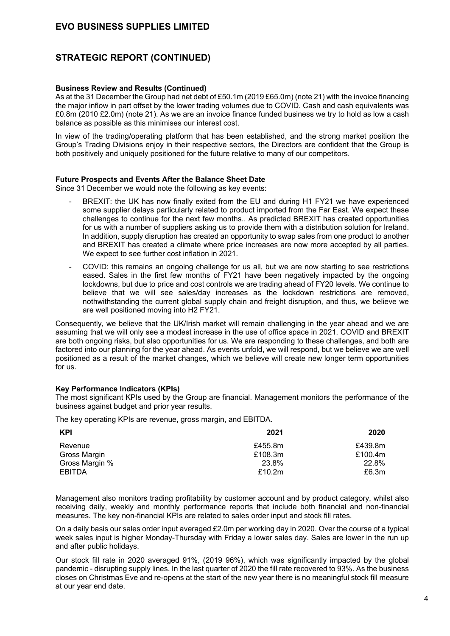# **STRATEGIC REPORT (CONTINUED)**

#### **Business Review and Results (Continued)**

As at the 31 December the Group had net debt of £50.1m (2019 £65.0m) (note 21) with the invoice financing the major inflow in part offset by the lower trading volumes due to COVID. Cash and cash equivalents was £0.8m (2010 £2.0m) (note 21). As we are an invoice finance funded business we try to hold as low a cash balance as possible as this minimises our interest cost.

In view of the trading/operating platform that has been established, and the strong market position the Group's Trading Divisions enjoy in their respective sectors, the Directors are confident that the Group is both positively and uniquely positioned for the future relative to many of our competitors.

#### **Future Prospects and Events After the Balance Sheet Date**

Since 31 December we would note the following as key events:

- BREXIT: the UK has now finally exited from the EU and during H1 FY21 we have experienced some supplier delays particularly related to product imported from the Far East. We expect these challenges to continue for the next few months.. As predicted BREXIT has created opportunities for us with a number of suppliers asking us to provide them with a distribution solution for Ireland. In addition, supply disruption has created an opportunity to swap sales from one product to another and BREXIT has created a climate where price increases are now more accepted by all parties. We expect to see further cost inflation in 2021.
- COVID: this remains an ongoing challenge for us all, but we are now starting to see restrictions eased. Sales in the first few months of FY21 have been negatively impacted by the ongoing lockdowns, but due to price and cost controls we are trading ahead of FY20 levels. We continue to believe that we will see sales/day increases as the lockdown restrictions are removed, nothwithstanding the current global supply chain and freight disruption, and thus, we believe we are well positioned moving into H2 FY21.

Consequently, we believe that the UK/Irish market will remain challenging in the year ahead and we are assuming that we will only see a modest increase in the use of office space in 2021. COVID and BREXIT are both ongoing risks, but also opportunities for us. We are responding to these challenges, and both are factored into our planning for the year ahead. As events unfold, we will respond, but we believe we are well positioned as a result of the market changes, which we believe will create new longer term opportunities for us.

#### **Key Performance Indicators (KPIs)**

The most significant KPIs used by the Group are financial. Management monitors the performance of the business against budget and prior year results.

The key operating KPIs are revenue, gross margin, and EBITDA.

| <b>KPI</b>     | 2021    | 2020    |
|----------------|---------|---------|
| Revenue        | £455.8m | £439.8m |
| Gross Margin   | £108.3m | £100.4m |
| Gross Margin % | 23.8%   | 22.8%   |
| EBITDA         | £10.2m  | £6.3m   |

Management also monitors trading profitability by customer account and by product category, whilst also receiving daily, weekly and monthly performance reports that include both financial and non-financial measures. The key non-financial KPIs are related to sales order input and stock fill rates.

On a daily basis our sales order input averaged £2.0m per working day in 2020. Over the course of a typical week sales input is higher Monday-Thursday with Friday a lower sales day. Sales are lower in the run up and after public holidays.

Our stock fill rate in 2020 averaged 91%, (2019 96%), which was significantly impacted by the global pandemic - disrupting supply lines. In the last quarter of 2020 the fill rate recovered to 93%. As the business closes on Christmas Eve and re-opens at the start of the new year there is no meaningful stock fill measure at our year end date.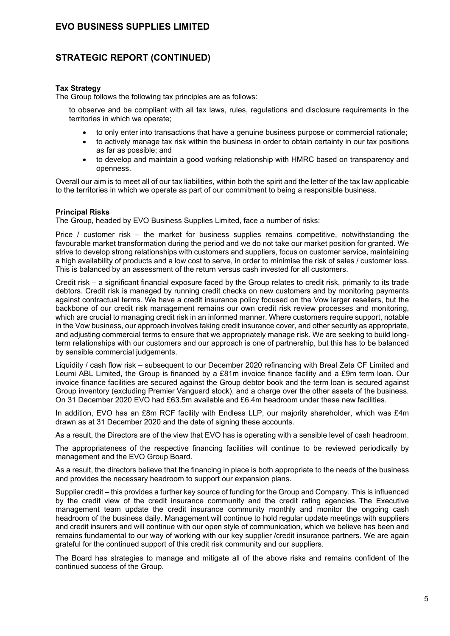# **STRATEGIC REPORT (CONTINUED)**

### **Tax Strategy**

The Group follows the following tax principles are as follows:

to observe and be compliant with all tax laws, rules, regulations and disclosure requirements in the territories in which we operate;

- to only enter into transactions that have a genuine business purpose or commercial rationale;
- to actively manage tax risk within the business in order to obtain certainty in our tax positions as far as possible; and
- to develop and maintain a good working relationship with HMRC based on transparency and openness.

Overall our aim is to meet all of our tax liabilities, within both the spirit and the letter of the tax law applicable to the territories in which we operate as part of our commitment to being a responsible business.

### **Principal Risks**

The Group, headed by EVO Business Supplies Limited, face a number of risks:

Price / customer risk – the market for business supplies remains competitive, notwithstanding the favourable market transformation during the period and we do not take our market position for granted. We strive to develop strong relationships with customers and suppliers, focus on customer service, maintaining a high availability of products and a low cost to serve, in order to minimise the risk of sales / customer loss. This is balanced by an assessment of the return versus cash invested for all customers.

Credit risk – a significant financial exposure faced by the Group relates to credit risk, primarily to its trade debtors. Credit risk is managed by running credit checks on new customers and by monitoring payments against contractual terms. We have a credit insurance policy focused on the Vow larger resellers, but the backbone of our credit risk management remains our own credit risk review processes and monitoring, which are crucial to managing credit risk in an informed manner. Where customers require support, notable in the Vow business, our approach involves taking credit insurance cover, and other security as appropriate, and adjusting commercial terms to ensure that we appropriately manage risk. We are seeking to build longterm relationships with our customers and our approach is one of partnership, but this has to be balanced by sensible commercial judgements.

Liquidity / cash flow risk – subsequent to our December 2020 refinancing with Breal Zeta CF Limited and Leumi ABL Limited, the Group is financed by a £81m invoice finance facility and a £9m term loan. Our invoice finance facilities are secured against the Group debtor book and the term loan is secured against Group inventory (excluding Premier Vanguard stock), and a charge over the other assets of the business. On 31 December 2020 EVO had £63.5m available and £6.4m headroom under these new facilities.

In addition, EVO has an £8m RCF facility with Endless LLP, our majority shareholder, which was £4m drawn as at 31 December 2020 and the date of signing these accounts.

As a result, the Directors are of the view that EVO has is operating with a sensible level of cash headroom.

The appropriateness of the respective financing facilities will continue to be reviewed periodically by management and the EVO Group Board.

As a result, the directors believe that the financing in place is both appropriate to the needs of the business and provides the necessary headroom to support our expansion plans.

Supplier credit – this provides a further key source of funding for the Group and Company. This is influenced by the credit view of the credit insurance community and the credit rating agencies. The Executive management team update the credit insurance community monthly and monitor the ongoing cash headroom of the business daily. Management will continue to hold regular update meetings with suppliers and credit insurers and will continue with our open style of communication, which we believe has been and remains fundamental to our way of working with our key supplier /credit insurance partners. We are again grateful for the continued support of this credit risk community and our suppliers.

The Board has strategies to manage and mitigate all of the above risks and remains confident of the continued success of the Group.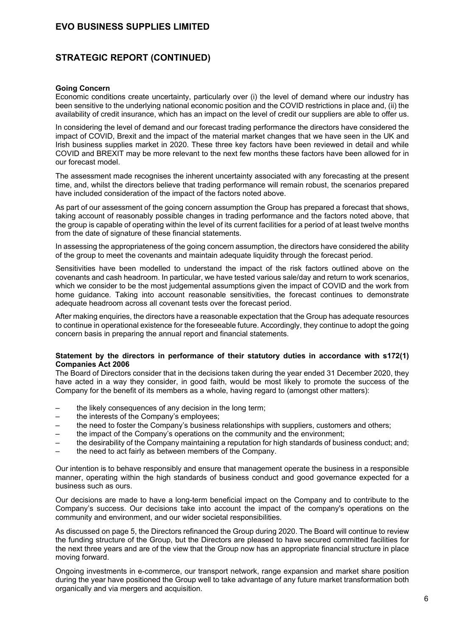### **STRATEGIC REPORT (CONTINUED)**

#### **Going Concern**

Economic conditions create uncertainty, particularly over (i) the level of demand where our industry has been sensitive to the underlying national economic position and the COVID restrictions in place and, (ii) the availability of credit insurance, which has an impact on the level of credit our suppliers are able to offer us.

In considering the level of demand and our forecast trading performance the directors have considered the impact of COVID, Brexit and the impact of the material market changes that we have seen in the UK and Irish business supplies market in 2020. These three key factors have been reviewed in detail and while COVID and BREXIT may be more relevant to the next few months these factors have been allowed for in our forecast model.

The assessment made recognises the inherent uncertainty associated with any forecasting at the present time, and, whilst the directors believe that trading performance will remain robust, the scenarios prepared have included consideration of the impact of the factors noted above.

As part of our assessment of the going concern assumption the Group has prepared a forecast that shows, taking account of reasonably possible changes in trading performance and the factors noted above, that the group is capable of operating within the level of its current facilities for a period of at least twelve months from the date of signature of these financial statements.

In assessing the appropriateness of the going concern assumption, the directors have considered the ability of the group to meet the covenants and maintain adequate liquidity through the forecast period.

Sensitivities have been modelled to understand the impact of the risk factors outlined above on the covenants and cash headroom. In particular, we have tested various sale/day and return to work scenarios, which we consider to be the most judgemental assumptions given the impact of COVID and the work from home guidance. Taking into account reasonable sensitivities, the forecast continues to demonstrate adequate headroom across all covenant tests over the forecast period.

After making enquiries, the directors have a reasonable expectation that the Group has adequate resources to continue in operational existence for the foreseeable future. Accordingly, they continue to adopt the going concern basis in preparing the annual report and financial statements.

#### **Statement by the directors in performance of their statutory duties in accordance with s172(1) Companies Act 2006**

The Board of Directors consider that in the decisions taken during the year ended 31 December 2020, they have acted in a way they consider, in good faith, would be most likely to promote the success of the Company for the benefit of its members as a whole, having regard to (amongst other matters):

- the likely consequences of any decision in the long term;
- the interests of the Company's employees;
- the need to foster the Company's business relationships with suppliers, customers and others;
- the impact of the Company's operations on the community and the environment;
- the desirability of the Company maintaining a reputation for high standards of business conduct; and;
- the need to act fairly as between members of the Company.

Our intention is to behave responsibly and ensure that management operate the business in a responsible manner, operating within the high standards of business conduct and good governance expected for a business such as ours.

Our decisions are made to have a long-term beneficial impact on the Company and to contribute to the Company's success. Our decisions take into account the impact of the company's operations on the community and environment, and our wider societal responsibilities.

As discussed on page 5, the Directors refinanced the Group during 2020. The Board will continue to review the funding structure of the Group, but the Directors are pleased to have secured committed facilities for the next three years and are of the view that the Group now has an appropriate financial structure in place moving forward.

Ongoing investments in e-commerce, our transport network, range expansion and market share position during the year have positioned the Group well to take advantage of any future market transformation both organically and via mergers and acquisition.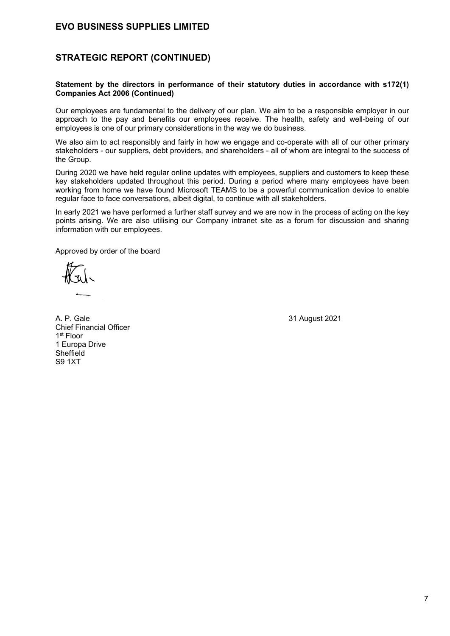### **STRATEGIC REPORT (CONTINUED)**

#### **Statement by the directors in performance of their statutory duties in accordance with s172(1) Companies Act 2006 (Continued)**

Our employees are fundamental to the delivery of our plan. We aim to be a responsible employer in our approach to the pay and benefits our employees receive. The health, safety and well-being of our employees is one of our primary considerations in the way we do business.

We also aim to act responsibly and fairly in how we engage and co-operate with all of our other primary stakeholders - our suppliers, debt providers, and shareholders - all of whom are integral to the success of the Group.

During 2020 we have held regular online updates with employees, suppliers and customers to keep these key stakeholders updated throughout this period. During a period where many employees have been working from home we have found Microsoft TEAMS to be a powerful communication device to enable regular face to face conversations, albeit digital, to continue with all stakeholders.

In early 2021 we have performed a further staff survey and we are now in the process of acting on the key points arising. We are also utilising our Company intranet site as a forum for discussion and sharing information with our employees.

Approved by order of the board

A. P. Gale 31 August 2021 Chief Financial Officer 1st Floor 1 Europa Drive **Sheffield** S9 1XT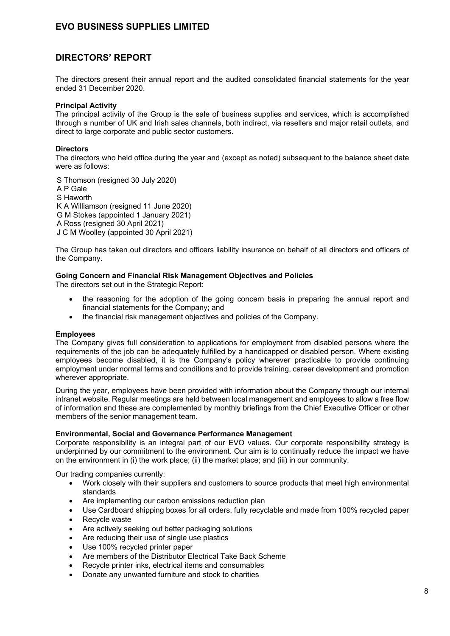### **DIRECTORS' REPORT**

The directors present their annual report and the audited consolidated financial statements for the year ended 31 December 2020.

#### **Principal Activity**

The principal activity of the Group is the sale of business supplies and services, which is accomplished through a number of UK and Irish sales channels, both indirect, via resellers and major retail outlets, and direct to large corporate and public sector customers.

#### **Directors**

The directors who held office during the year and (except as noted) subsequent to the balance sheet date were as follows:

S Thomson (resigned 30 July 2020) A P Gale S Haworth K A Williamson (resigned 11 June 2020) G M Stokes (appointed 1 January 2021) A Ross (resigned 30 April 2021) J C M Woolley (appointed 30 April 2021)

The Group has taken out directors and officers liability insurance on behalf of all directors and officers of the Company.

#### **Going Concern and Financial Risk Management Objectives and Policies**

The directors set out in the Strategic Report:

- the reasoning for the adoption of the going concern basis in preparing the annual report and financial statements for the Company; and
- the financial risk management objectives and policies of the Company.

#### **Employees**

The Company gives full consideration to applications for employment from disabled persons where the requirements of the job can be adequately fulfilled by a handicapped or disabled person. Where existing employees become disabled, it is the Company's policy wherever practicable to provide continuing employment under normal terms and conditions and to provide training, career development and promotion wherever appropriate.

During the year, employees have been provided with information about the Company through our internal intranet website. Regular meetings are held between local management and employees to allow a free flow of information and these are complemented by monthly briefings from the Chief Executive Officer or other members of the senior management team.

#### **Environmental, Social and Governance Performance Management**

Corporate responsibility is an integral part of our EVO values. Our corporate responsibility strategy is underpinned by our commitment to the environment. Our aim is to continually reduce the impact we have on the environment in (i) the work place; (ii) the market place; and (iii) in our community.

Our trading companies currently:

- Work closely with their suppliers and customers to source products that meet high environmental standards
- Are implementing our carbon emissions reduction plan
- Use Cardboard shipping boxes for all orders, fully recyclable and made from 100% recycled paper
- Recycle waste
- Are actively seeking out better packaging solutions
- Are reducing their use of single use plastics
- Use 100% recycled printer paper
- Are members of the Distributor Electrical Take Back Scheme
- Recycle printer inks, electrical items and consumables
- Donate any unwanted furniture and stock to charities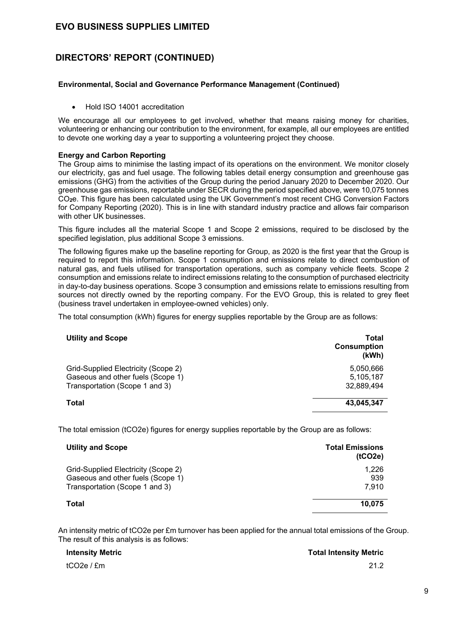# **DIRECTORS' REPORT (CONTINUED)**

#### **Environmental, Social and Governance Performance Management (Continued)**

• Hold ISO 14001 accreditation

We encourage all our employees to get involved, whether that means raising money for charities, volunteering or enhancing our contribution to the environment, for example, all our employees are entitled to devote one working day a year to supporting a volunteering project they choose.

#### **Energy and Carbon Reporting**

The Group aims to minimise the lasting impact of its operations on the environment. We monitor closely our electricity, gas and fuel usage. The following tables detail energy consumption and greenhouse gas emissions (GHG) from the activities of the Group during the period January 2020 to December 2020. Our greenhouse gas emissions, reportable under SECR during the period specified above, were 10,075 tonnes CO**2**e. This figure has been calculated using the UK Government's most recent CHG Conversion Factors for Company Reporting (2020). This is in line with standard industry practice and allows fair comparison with other UK businesses.

This figure includes all the material Scope 1 and Scope 2 emissions, required to be disclosed by the specified legislation, plus additional Scope 3 emissions.

The following figures make up the baseline reporting for Group, as 2020 is the first year that the Group is required to report this information. Scope 1 consumption and emissions relate to direct combustion of natural gas, and fuels utilised for transportation operations, such as company vehicle fleets. Scope 2 consumption and emissions relate to indirect emissions relating to the consumption of purchased electricity in day-to-day business operations. Scope 3 consumption and emissions relate to emissions resulting from sources not directly owned by the reporting company. For the EVO Group, this is related to grey fleet (business travel undertaken in employee-owned vehicles) only.

The total consumption (kWh) figures for energy supplies reportable by the Group are as follows:

| <b>Utility and Scope</b>                                                                                   | Total<br><b>Consumption</b><br>(kWh) |
|------------------------------------------------------------------------------------------------------------|--------------------------------------|
| Grid-Supplied Electricity (Scope 2)<br>Gaseous and other fuels (Scope 1)<br>Transportation (Scope 1 and 3) | 5,050,666<br>5,105,187<br>32,889,494 |
| <b>Total</b>                                                                                               | 43,045,347                           |

The total emission (tCO2e) figures for energy supplies reportable by the Group are as follows:

| <b>Utility and Scope</b>                                                                                   | <b>Total Emissions</b><br>(1CO2e) |
|------------------------------------------------------------------------------------------------------------|-----------------------------------|
| Grid-Supplied Electricity (Scope 2)<br>Gaseous and other fuels (Scope 1)<br>Transportation (Scope 1 and 3) | 1.226<br>939<br>7.910             |
| <b>Total</b>                                                                                               | 10.075                            |

An intensity metric of tCO2e per £m turnover has been applied for the annual total emissions of the Group. The result of this analysis is as follows:

| <b>Intensity Metric</b> | <b>Total Intensity Metric</b> |
|-------------------------|-------------------------------|
| tCO2e / £m              |                               |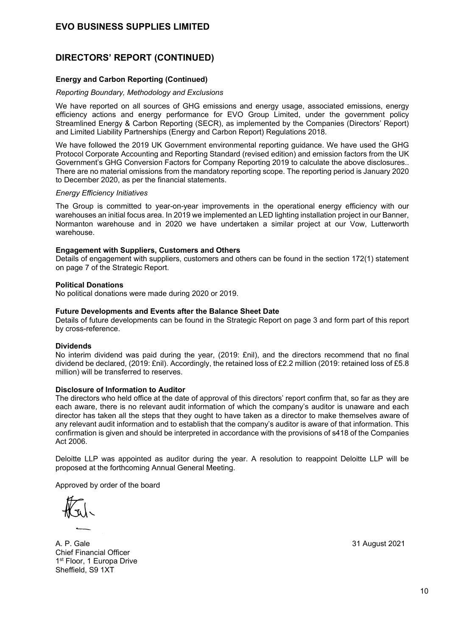# **DIRECTORS' REPORT (CONTINUED)**

#### **Energy and Carbon Reporting (Continued)**

#### *Reporting Boundary, Methodology and Exclusions*

We have reported on all sources of GHG emissions and energy usage, associated emissions, energy efficiency actions and energy performance for EVO Group Limited, under the government policy Streamlined Energy & Carbon Reporting (SECR), as implemented by the Companies (Directors' Report) and Limited Liability Partnerships (Energy and Carbon Report) Regulations 2018.

We have followed the 2019 UK Government environmental reporting guidance. We have used the GHG Protocol Corporate Accounting and Reporting Standard (revised edition) and emission factors from the UK Government's GHG Conversion Factors for Company Reporting 2019 to calculate the above disclosures.. There are no material omissions from the mandatory reporting scope. The reporting period is January 2020 to December 2020, as per the financial statements.

#### *Energy Efficiency Initiatives*

The Group is committed to year-on-year improvements in the operational energy efficiency with our warehouses an initial focus area. In 2019 we implemented an LED lighting installation project in our Banner, Normanton warehouse and in 2020 we have undertaken a similar project at our Vow, Lutterworth warehouse.

#### **Engagement with Suppliers, Customers and Others**

Details of engagement with suppliers, customers and others can be found in the section 172(1) statement on page 7 of the Strategic Report.

#### **Political Donations**

No political donations were made during 2020 or 2019.

#### **Future Developments and Events after the Balance Sheet Date**

Details of future developments can be found in the Strategic Report on page 3 and form part of this report by cross-reference.

#### **Dividends**

No interim dividend was paid during the year, (2019: £nil), and the directors recommend that no final dividend be declared, (2019: £nil). Accordingly, the retained loss of £2.2 million (2019: retained loss of £5.8 million) will be transferred to reserves.

#### **Disclosure of Information to Auditor**

The directors who held office at the date of approval of this directors' report confirm that, so far as they are each aware, there is no relevant audit information of which the company's auditor is unaware and each director has taken all the steps that they ought to have taken as a director to make themselves aware of any relevant audit information and to establish that the company's auditor is aware of that information. This confirmation is given and should be interpreted in accordance with the provisions of s418 of the Companies Act 2006.

Deloitte LLP was appointed as auditor during the year. A resolution to reappoint Deloitte LLP will be proposed at the forthcoming Annual General Meeting.

Approved by order of the board

A. P. Gale 31 August 2021 Chief Financial Officer 1st Floor, 1 Europa Drive Sheffield, S9 1XT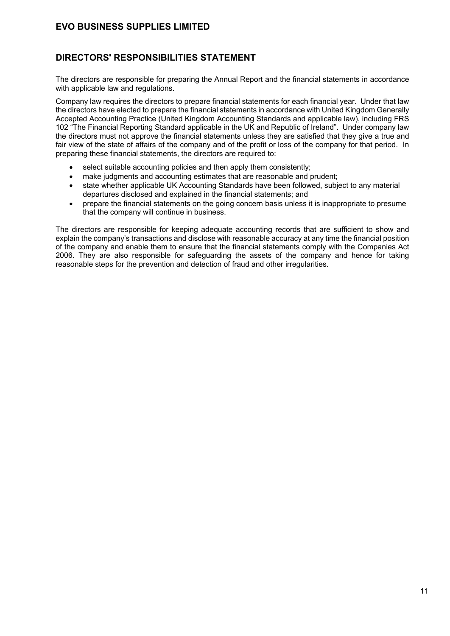# **DIRECTORS' RESPONSIBILITIES STATEMENT**

The directors are responsible for preparing the Annual Report and the financial statements in accordance with applicable law and regulations.

Company law requires the directors to prepare financial statements for each financial year. Under that law the directors have elected to prepare the financial statements in accordance with United Kingdom Generally Accepted Accounting Practice (United Kingdom Accounting Standards and applicable law), including FRS 102 "The Financial Reporting Standard applicable in the UK and Republic of Ireland". Under company law the directors must not approve the financial statements unless they are satisfied that they give a true and fair view of the state of affairs of the company and of the profit or loss of the company for that period. In preparing these financial statements, the directors are required to:

- select suitable accounting policies and then apply them consistently;
- make judgments and accounting estimates that are reasonable and prudent;
- state whether applicable UK Accounting Standards have been followed, subject to any material departures disclosed and explained in the financial statements; and
- prepare the financial statements on the going concern basis unless it is inappropriate to presume that the company will continue in business.

The directors are responsible for keeping adequate accounting records that are sufficient to show and explain the company's transactions and disclose with reasonable accuracy at any time the financial position of the company and enable them to ensure that the financial statements comply with the Companies Act 2006. They are also responsible for safeguarding the assets of the company and hence for taking reasonable steps for the prevention and detection of fraud and other irregularities.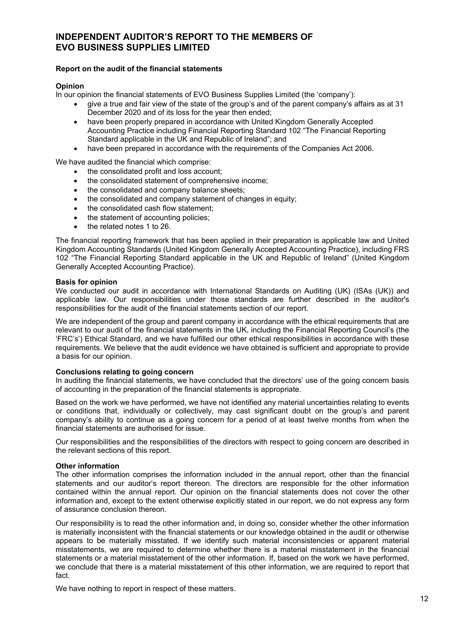### **INDEPENDENT AUDITOR'S REPORT TO THE MEMBERS OF EVO BUSINESS SUPPLIES LIMITED**

#### **Report on the audit of the financial statements**

#### **Opinion**

In our opinion the financial statements of EVO Business Supplies Limited (the 'company'):

- give a true and fair view of the state of the group's and of the parent company's affairs as at 31 December 2020 and of its loss for the year then ended;
- have been properly prepared in accordance with United Kingdom Generally Accepted Accounting Practice including Financial Reporting Standard 102 "The Financial Reporting Standard applicable in the UK and Republic of Ireland"; and
- have been prepared in accordance with the requirements of the Companies Act 2006.

We have audited the financial which comprise:

- the consolidated profit and loss account:
- the consolidated statement of comprehensive income;
- the consolidated and company balance sheets;
- the consolidated and company statement of changes in equity;
- the consolidated cash flow statement;
- the statement of accounting policies;
- the related notes 1 to 26.

The financial reporting framework that has been applied in their preparation is applicable law and United Kingdom Accounting Standards (United Kingdom Generally Accepted Accounting Practice), including FRS 102 "The Financial Reporting Standard applicable in the UK and Republic of Ireland" (United Kingdom Generally Accepted Accounting Practice).

#### **Basis for opinion**

We conducted our audit in accordance with International Standards on Auditing (UK) (ISAs (UK)) and applicable law. Our responsibilities under those standards are further described in the auditor's responsibilities for the audit of the financial statements section of our report.

We are independent of the group and parent company in accordance with the ethical requirements that are relevant to our audit of the financial statements in the UK, including the Financial Reporting Council's (the 'FRC's') Ethical Standard, and we have fulfilled our other ethical responsibilities in accordance with these requirements. We believe that the audit evidence we have obtained is sufficient and appropriate to provide a basis for our opinion.

#### **Conclusions relating to going concern**

In auditing the financial statements, we have concluded that the directors' use of the going concern basis of accounting in the preparation of the financial statements is appropriate.

Based on the work we have performed, we have not identified any material uncertainties relating to events or conditions that, individually or collectively, may cast significant doubt on the group's and parent company's ability to continue as a going concern for a period of at least twelve months from when the financial statements are authorised for issue.

Our responsibilities and the responsibilities of the directors with respect to going concern are described in the relevant sections of this report.

#### **Other information**

The other information comprises the information included in the annual report, other than the financial statements and our auditor's report thereon. The directors are responsible for the other information contained within the annual report. Our opinion on the financial statements does not cover the other information and, except to the extent otherwise explicitly stated in our report, we do not express any form of assurance conclusion thereon.

Our responsibility is to read the other information and, in doing so, consider whether the other information is materially inconsistent with the financial statements or our knowledge obtained in the audit or otherwise appears to be materially misstated. If we identify such material inconsistencies or apparent material misstatements, we are required to determine whether there is a material misstatement in the financial statements or a material misstatement of the other information. If, based on the work we have performed, we conclude that there is a material misstatement of this other information, we are required to report that fact.

We have nothing to report in respect of these matters.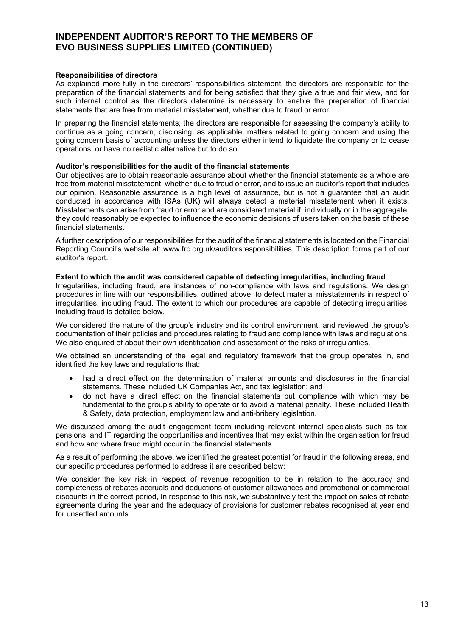### **INDEPENDENT AUDITOR'S REPORT TO THE MEMBERS OF EVO BUSINESS SUPPLIES LIMITED (CONTINUED)**

#### **Responsibilities of directors**

As explained more fully in the directors' responsibilities statement, the directors are responsible for the preparation of the financial statements and for being satisfied that they give a true and fair view, and for such internal control as the directors determine is necessary to enable the preparation of financial statements that are free from material misstatement, whether due to fraud or error.

In preparing the financial statements, the directors are responsible for assessing the company's ability to continue as a going concern, disclosing, as applicable, matters related to going concern and using the going concern basis of accounting unless the directors either intend to liquidate the company or to cease operations, or have no realistic alternative but to do so.

#### **Auditor's responsibilities for the audit of the financial statements**

Our objectives are to obtain reasonable assurance about whether the financial statements as a whole are free from material misstatement, whether due to fraud or error, and to issue an auditor's report that includes our opinion. Reasonable assurance is a high level of assurance, but is not a guarantee that an audit conducted in accordance with ISAs (UK) will always detect a material misstatement when it exists. Misstatements can arise from fraud or error and are considered material if, individually or in the aggregate, they could reasonably be expected to influence the economic decisions of users taken on the basis of these financial statements.

A further description of our responsibilities for the audit of the financial statements is located on the Financial Reporting Council's website at: www.frc.org.uk/auditorsresponsibilities. This description forms part of our auditor's report.

#### **Extent to which the audit was considered capable of detecting irregularities, including fraud**

Irregularities, including fraud, are instances of non-compliance with laws and regulations. We design procedures in line with our responsibilities, outlined above, to detect material misstatements in respect of irregularities, including fraud. The extent to which our procedures are capable of detecting irregularities, including fraud is detailed below.

We considered the nature of the group's industry and its control environment, and reviewed the group's documentation of their policies and procedures relating to fraud and compliance with laws and regulations. We also enquired of about their own identification and assessment of the risks of irregularities.

We obtained an understanding of the legal and regulatory framework that the group operates in, and identified the key laws and regulations that:

- had a direct effect on the determination of material amounts and disclosures in the financial statements. These included UK Companies Act, and tax legislation; and
- do not have a direct effect on the financial statements but compliance with which may be fundamental to the group's ability to operate or to avoid a material penalty. These included Health & Safety, data protection, employment law and anti-bribery legislation.

We discussed among the audit engagement team including relevant internal specialists such as tax, pensions, and IT regarding the opportunities and incentives that may exist within the organisation for fraud and how and where fraud might occur in the financial statements.

As a result of performing the above, we identified the greatest potential for fraud in the following areas, and our specific procedures performed to address it are described below:

We consider the key risk in respect of revenue recognition to be in relation to the accuracy and completeness of rebates accruals and deductions of customer allowances and promotional or commercial discounts in the correct period, In response to this risk, we substantively test the impact on sales of rebate agreements during the year and the adequacy of provisions for customer rebates recognised at year end for unsettled amounts.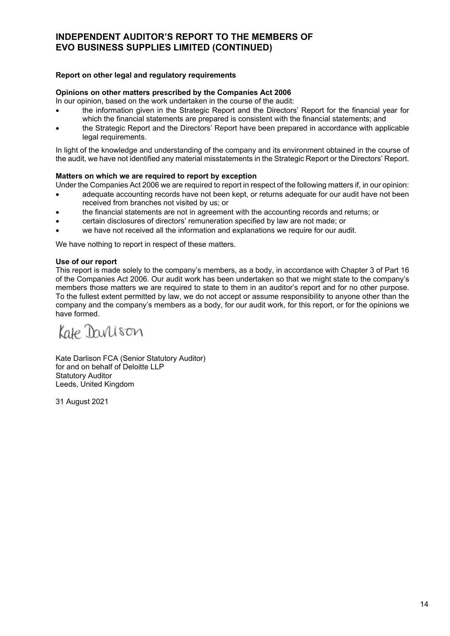### **INDEPENDENT AUDITOR'S REPORT TO THE MEMBERS OF EVO BUSINESS SUPPLIES LIMITED (CONTINUED)**

#### **Report on other legal and regulatory requirements**

#### **Opinions on other matters prescribed by the Companies Act 2006**

In our opinion, based on the work undertaken in the course of the audit:

- the information given in the Strategic Report and the Directors' Report for the financial year for which the financial statements are prepared is consistent with the financial statements; and
- the Strategic Report and the Directors' Report have been prepared in accordance with applicable legal requirements.

In light of the knowledge and understanding of the company and its environment obtained in the course of the audit, we have not identified any material misstatements in the Strategic Report or the Directors' Report.

#### **Matters on which we are required to report by exception**

Under the Companies Act 2006 we are required to report in respect of the following matters if, in our opinion:

- adequate accounting records have not been kept, or returns adequate for our audit have not been received from branches not visited by us; or
- the financial statements are not in agreement with the accounting records and returns; or
- certain disclosures of directors' remuneration specified by law are not made; or
- we have not received all the information and explanations we require for our audit.

We have nothing to report in respect of these matters.

#### **Use of our report**

This report is made solely to the company's members, as a body, in accordance with Chapter 3 of Part 16 of the Companies Act 2006. Our audit work has been undertaken so that we might state to the company's members those matters we are required to state to them in an auditor's report and for no other purpose. To the fullest extent permitted by law, we do not accept or assume responsibility to anyone other than the company and the company's members as a body, for our audit work, for this report, or for the opinions we have formed.

Kate Davison

Kate Darlison FCA (Senior Statutory Auditor) for and on behalf of Deloitte LLP Statutory Auditor Leeds, United Kingdom

31 August 2021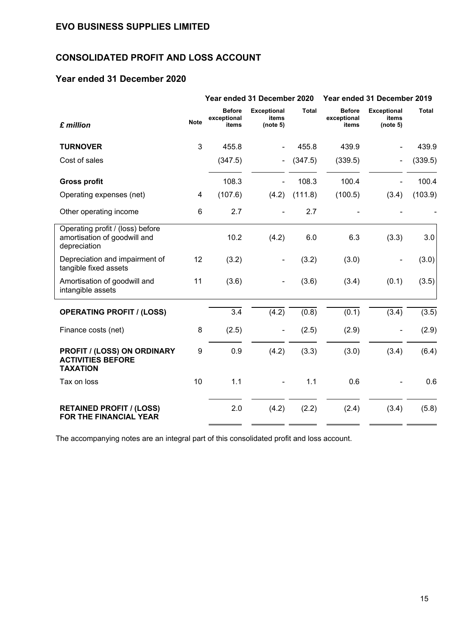# **CONSOLIDATED PROFIT AND LOSS ACCOUNT**

# **Year ended 31 December 2020**

|                                                                                  |             | Year ended 31 December 2020<br>Year ended 31 December 2019 |                                         |                    |                                       |                                         |              |
|----------------------------------------------------------------------------------|-------------|------------------------------------------------------------|-----------------------------------------|--------------------|---------------------------------------|-----------------------------------------|--------------|
| £ million                                                                        | <b>Note</b> | <b>Before</b><br>exceptional<br>items                      | <b>Exceptional</b><br>items<br>(note 5) | Total              | <b>Before</b><br>exceptional<br>items | <b>Exceptional</b><br>items<br>(note 5) | <b>Total</b> |
| <b>TURNOVER</b>                                                                  | 3           | 455.8                                                      |                                         | 455.8              | 439.9                                 |                                         | 439.9        |
| Cost of sales                                                                    |             | (347.5)                                                    |                                         | (347.5)            | (339.5)                               |                                         | (339.5)      |
| <b>Gross profit</b>                                                              |             | 108.3                                                      |                                         | 108.3              | 100.4                                 |                                         | 100.4        |
| Operating expenses (net)                                                         | 4           | (107.6)                                                    | (4.2)                                   | (111.8)            | (100.5)                               | (3.4)                                   | (103.9)      |
| Other operating income                                                           | 6           | 2.7                                                        |                                         | 2.7                |                                       |                                         |              |
| Operating profit / (loss) before<br>amortisation of goodwill and<br>depreciation |             | 10.2                                                       | (4.2)                                   | 6.0                | 6.3                                   | (3.3)                                   | 3.0          |
| Depreciation and impairment of<br>tangible fixed assets                          | 12          | (3.2)                                                      |                                         | (3.2)              | (3.0)                                 |                                         | (3.0)        |
| Amortisation of goodwill and<br>intangible assets                                | 11          | (3.6)                                                      |                                         | (3.6)              | (3.4)                                 | (0.1)                                   | (3.5)        |
| <b>OPERATING PROFIT / (LOSS)</b>                                                 |             | $\overline{3.4}$                                           | (4.2)                                   | $(0.\overline{8})$ | (0.1)                                 | (3.4)                                   | (3.5)        |
| Finance costs (net)                                                              | 8           | (2.5)                                                      |                                         | (2.5)              | (2.9)                                 |                                         | (2.9)        |
| PROFIT / (LOSS) ON ORDINARY<br><b>ACTIVITIES BEFORE</b><br><b>TAXATION</b>       | 9           | 0.9                                                        | (4.2)                                   | (3.3)              | (3.0)                                 | (3.4)                                   | (6.4)        |
| Tax on loss                                                                      | 10          | 1.1                                                        |                                         | 1.1                | 0.6                                   |                                         | 0.6          |
| <b>RETAINED PROFIT / (LOSS)</b><br><b>FOR THE FINANCIAL YEAR</b>                 |             | 2.0                                                        | (4.2)                                   | (2.2)              | (2.4)                                 | (3.4)                                   | (5.8)        |

The accompanying notes are an integral part of this consolidated profit and loss account.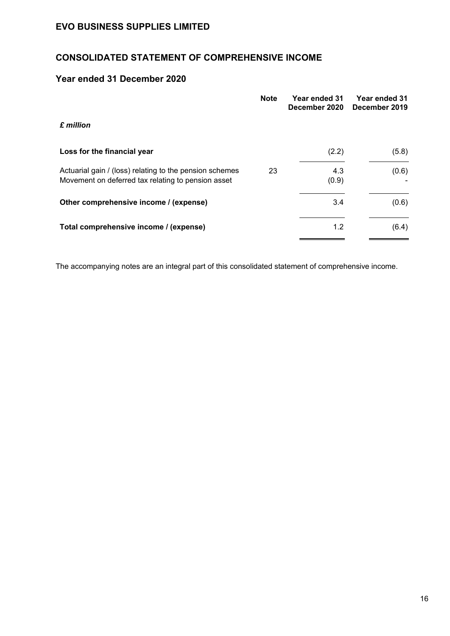# **CONSOLIDATED STATEMENT OF COMPREHENSIVE INCOME**

# **Year ended 31 December 2020**

|                                                                                                               | <b>Note</b> | Year ended 31<br>December 2020 | Year ended 31<br>December 2019 |
|---------------------------------------------------------------------------------------------------------------|-------------|--------------------------------|--------------------------------|
| £ million                                                                                                     |             |                                |                                |
| Loss for the financial year                                                                                   |             | (2.2)                          | (5.8)                          |
| Actuarial gain / (loss) relating to the pension schemes<br>Movement on deferred tax relating to pension asset | 23          | 4.3<br>(0.9)                   | (0.6)                          |
| Other comprehensive income / (expense)                                                                        |             | 3.4                            | (0.6)                          |
| Total comprehensive income / (expense)                                                                        |             | 1.2                            | (6.4)                          |

The accompanying notes are an integral part of this consolidated statement of comprehensive income.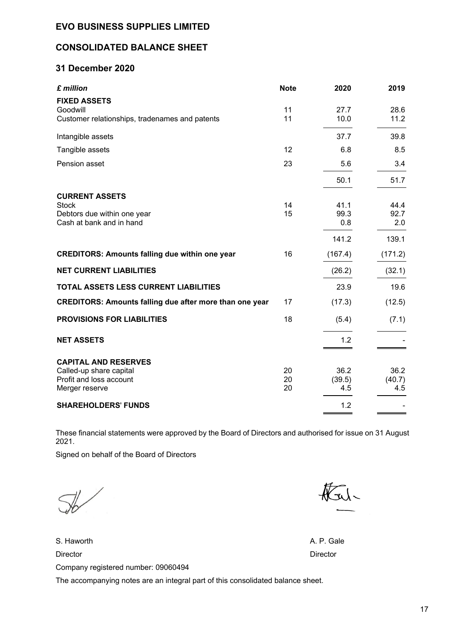# **CONSOLIDATED BALANCE SHEET**

### **31 December 2020**

| £ million                                                                                           | <b>Note</b>    | 2020                         | 2019                         |
|-----------------------------------------------------------------------------------------------------|----------------|------------------------------|------------------------------|
| <b>FIXED ASSETS</b><br>Goodwill<br>Customer relationships, tradenames and patents                   | 11<br>11       | 27.7<br>10.0                 | 28.6<br>11.2                 |
| Intangible assets                                                                                   |                | 37.7                         | 39.8                         |
| Tangible assets                                                                                     | 12             | 6.8                          | 8.5                          |
| Pension asset                                                                                       | 23             | 5.6                          | 3.4                          |
|                                                                                                     |                | 50.1                         | 51.7                         |
| <b>CURRENT ASSETS</b><br><b>Stock</b><br>Debtors due within one year<br>Cash at bank and in hand    | 14<br>15       | 41.1<br>99.3<br>0.8<br>141.2 | 44.4<br>92.7<br>2.0<br>139.1 |
| <b>CREDITORS: Amounts falling due within one year</b>                                               | 16             | (167.4)                      | (171.2)                      |
| <b>NET CURRENT LIABILITIES</b>                                                                      |                | (26.2)                       | (32.1)                       |
| TOTAL ASSETS LESS CURRENT LIABILITIES                                                               |                | 23.9                         | 19.6                         |
| <b>CREDITORS: Amounts falling due after more than one year</b>                                      | 17             | (17.3)                       | (12.5)                       |
| <b>PROVISIONS FOR LIABILITIES</b>                                                                   | 18             | (5.4)                        | (7.1)                        |
| <b>NET ASSETS</b>                                                                                   |                | 1.2                          |                              |
| <b>CAPITAL AND RESERVES</b><br>Called-up share capital<br>Profit and loss account<br>Merger reserve | 20<br>20<br>20 | 36.2<br>(39.5)<br>4.5        | 36.2<br>(40.7)<br>4.5        |
| <b>SHAREHOLDERS' FUNDS</b>                                                                          |                | 1.2                          |                              |

These financial statements were approved by the Board of Directors and authorised for issue on 31 August 2021.

Signed on behalf of the Board of Directors

S. Haworth **A. P. Gale** Director Director Company registered number: 09060494

ttal-

The accompanying notes are an integral part of this consolidated balance sheet.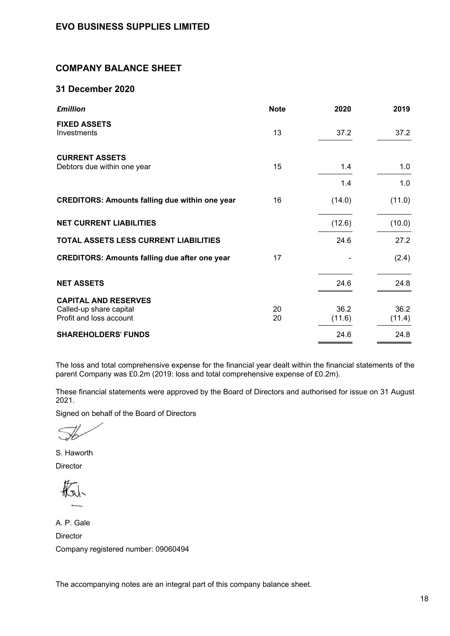# **COMPANY BALANCE SHEET**

### **31 December 2020**

| <b>£million</b>                                                                   | <b>Note</b> | 2020           | 2019           |
|-----------------------------------------------------------------------------------|-------------|----------------|----------------|
| <b>FIXED ASSETS</b><br>Investments                                                | 13          | 37.2           | 37.2           |
| <b>CURRENT ASSETS</b><br>Debtors due within one year                              | 15          | 1.4            | 1.0            |
|                                                                                   |             | 1.4            | 1.0            |
| <b>CREDITORS: Amounts falling due within one year</b>                             | 16          | (14.0)         | (11.0)         |
| <b>NET CURRENT LIABILITIES</b>                                                    |             | (12.6)         | (10.0)         |
| TOTAL ASSETS LESS CURRENT LIABILITIES                                             |             | 24.6           | 27.2           |
| <b>CREDITORS: Amounts falling due after one year</b>                              | 17          |                | (2.4)          |
| <b>NET ASSETS</b>                                                                 |             | 24.6           | 24.8           |
| <b>CAPITAL AND RESERVES</b><br>Called-up share capital<br>Profit and loss account | 20<br>20    | 36.2<br>(11.6) | 36.2<br>(11.4) |
| <b>SHAREHOLDERS' FUNDS</b>                                                        |             | 24.6           | 24.8           |

The loss and total comprehensive expense for the financial year dealt within the financial statements of the parent Company was £0.2m (2019: loss and total comprehensive expense of £0.2m).

These financial statements were approved by the Board of Directors and authorised for issue on 31 August 2021.

Signed on behalf of the Board of Directors

S. Haworth

Director

℔

A. P. Gale Director Company registered number: 09060494

The accompanying notes are an integral part of this company balance sheet.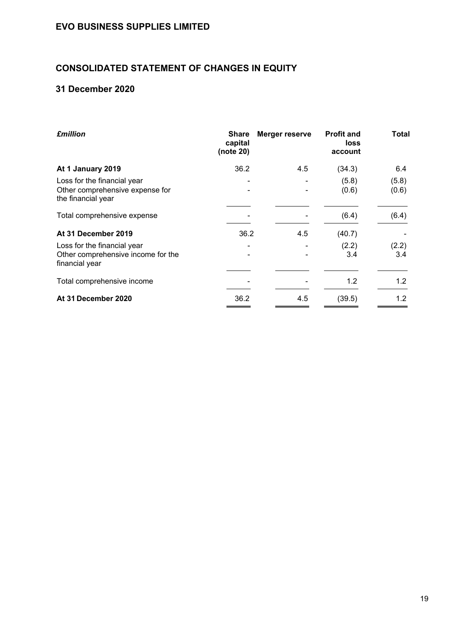# **CONSOLIDATED STATEMENT OF CHANGES IN EQUITY**

# **31 December 2020**

| <b>£million</b>                                                                      | <b>Share</b><br>capital<br>(note 20) | <b>Merger reserve</b> | <b>Profit and</b><br>loss<br>account | <b>Total</b>   |
|--------------------------------------------------------------------------------------|--------------------------------------|-----------------------|--------------------------------------|----------------|
| At 1 January 2019                                                                    | 36.2                                 | 4.5                   | (34.3)                               | 6.4            |
| Loss for the financial year<br>Other comprehensive expense for<br>the financial year |                                      |                       | (5.8)<br>(0.6)                       | (5.8)<br>(0.6) |
| Total comprehensive expense                                                          |                                      |                       | (6.4)                                | (6.4)          |
| At 31 December 2019                                                                  | 36.2                                 | 4.5                   | (40.7)                               |                |
| Loss for the financial year<br>Other comprehensive income for the<br>financial year  |                                      |                       | (2.2)<br>3.4                         | (2.2)<br>3.4   |
| Total comprehensive income                                                           |                                      |                       | 1.2                                  | 1.2            |
| At 31 December 2020                                                                  | 36.2                                 | 4.5                   | (39.5)                               | 1.2            |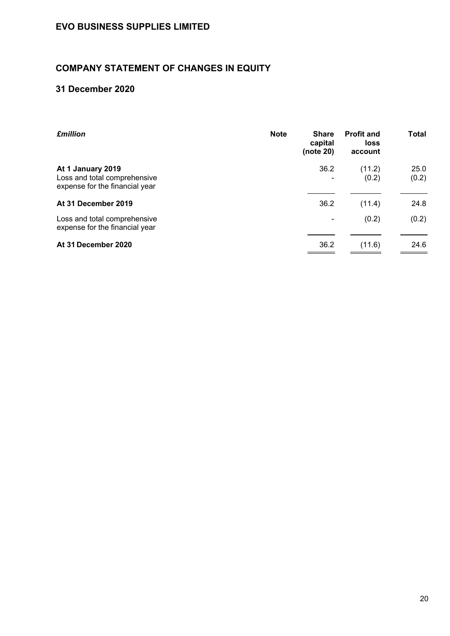# **COMPANY STATEMENT OF CHANGES IN EQUITY**

# **31 December 2020**

| <b>£million</b>                                                                     | <b>Note</b><br><b>Share</b><br>capital<br>(note 20) | <b>Profit and</b><br>loss<br>account | <b>Total</b>  |
|-------------------------------------------------------------------------------------|-----------------------------------------------------|--------------------------------------|---------------|
| At 1 January 2019<br>Loss and total comprehensive<br>expense for the financial year | 36.2                                                | (11.2)<br>(0.2)                      | 25.0<br>(0.2) |
| At 31 December 2019                                                                 | 36.2                                                | (11.4)                               | 24.8          |
| Loss and total comprehensive<br>expense for the financial year                      |                                                     | (0.2)                                | (0.2)         |
| At 31 December 2020                                                                 | 36.2                                                | (11.6)                               | 24.6          |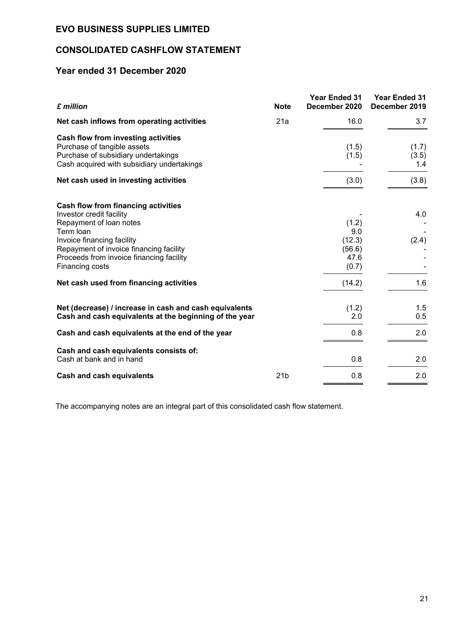# **CONSOLIDATED CASHFLOW STATEMENT**

# **Year ended 31 December 2020**

| <b>Note</b>     | <b>Year Ended 31</b><br>December 2020                       | <b>Year Ended 31</b><br>December 2019 |
|-----------------|-------------------------------------------------------------|---------------------------------------|
| 21a             | 16.0                                                        | 3.7                                   |
|                 | (1.5)<br>(1.5)                                              | (1.7)<br>(3.5)<br>1.4                 |
|                 | (3.0)                                                       | (3.8)                                 |
|                 | (1.2)<br>9.0<br>(12.3)<br>(56.6)<br>47.6<br>(0.7)<br>(14.2) | 4.0<br>(2.4)<br>1.6                   |
|                 | (1.2)<br>2.0                                                | 1.5<br>0.5                            |
|                 | 0.8                                                         | 2.0                                   |
|                 | 0.8                                                         | 2.0                                   |
| 21 <sub>b</sub> | 0.8                                                         | 2.0                                   |
|                 |                                                             |                                       |

The accompanying notes are an integral part of this consolidated cash flow statement.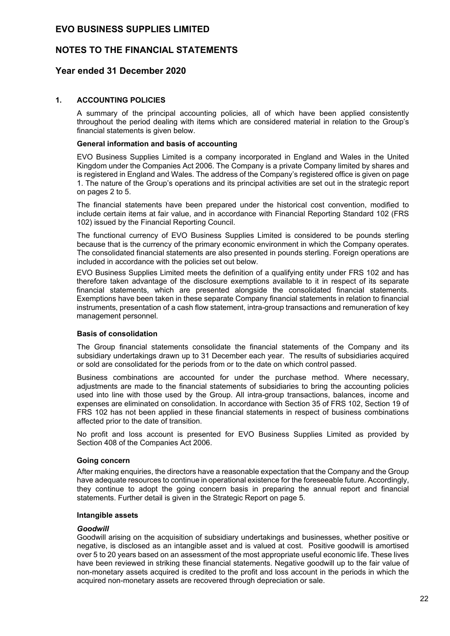### **NOTES TO THE FINANCIAL STATEMENTS**

### **Year ended 31 December 2020**

#### **1. ACCOUNTING POLICIES**

A summary of the principal accounting policies, all of which have been applied consistently throughout the period dealing with items which are considered material in relation to the Group's financial statements is given below.

#### **General information and basis of accounting**

EVO Business Supplies Limited is a company incorporated in England and Wales in the United Kingdom under the Companies Act 2006. The Company is a private Company limited by shares and is registered in England and Wales. The address of the Company's registered office is given on page 1. The nature of the Group's operations and its principal activities are set out in the strategic report on pages 2 to 5.

The financial statements have been prepared under the historical cost convention, modified to include certain items at fair value, and in accordance with Financial Reporting Standard 102 (FRS 102) issued by the Financial Reporting Council.

The functional currency of EVO Business Supplies Limited is considered to be pounds sterling because that is the currency of the primary economic environment in which the Company operates. The consolidated financial statements are also presented in pounds sterling. Foreign operations are included in accordance with the policies set out below.

EVO Business Supplies Limited meets the definition of a qualifying entity under FRS 102 and has therefore taken advantage of the disclosure exemptions available to it in respect of its separate financial statements, which are presented alongside the consolidated financial statements. Exemptions have been taken in these separate Company financial statements in relation to financial instruments, presentation of a cash flow statement, intra-group transactions and remuneration of key management personnel.

#### **Basis of consolidation**

The Group financial statements consolidate the financial statements of the Company and its subsidiary undertakings drawn up to 31 December each year. The results of subsidiaries acquired or sold are consolidated for the periods from or to the date on which control passed.

Business combinations are accounted for under the purchase method. Where necessary, adjustments are made to the financial statements of subsidiaries to bring the accounting policies used into line with those used by the Group. All intra-group transactions, balances, income and expenses are eliminated on consolidation. In accordance with Section 35 of FRS 102, Section 19 of FRS 102 has not been applied in these financial statements in respect of business combinations affected prior to the date of transition.

No profit and loss account is presented for EVO Business Supplies Limited as provided by Section 408 of the Companies Act 2006.

#### **Going concern**

After making enquiries, the directors have a reasonable expectation that the Company and the Group have adequate resources to continue in operational existence for the foreseeable future. Accordingly, they continue to adopt the going concern basis in preparing the annual report and financial statements. Further detail is given in the Strategic Report on page 5.

#### **Intangible assets**

#### *Goodwill*

Goodwill arising on the acquisition of subsidiary undertakings and businesses, whether positive or negative, is disclosed as an intangible asset and is valued at cost. Positive goodwill is amortised over 5 to 20 years based on an assessment of the most appropriate useful economic life. These lives have been reviewed in striking these financial statements. Negative goodwill up to the fair value of non-monetary assets acquired is credited to the profit and loss account in the periods in which the acquired non-monetary assets are recovered through depreciation or sale.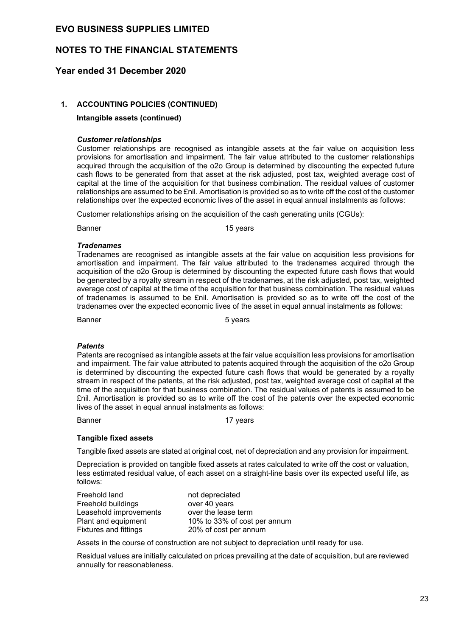# **NOTES TO THE FINANCIAL STATEMENTS**

### **Year ended 31 December 2020**

### **1. ACCOUNTING POLICIES (CONTINUED)**

#### **Intangible assets (continued)**

#### *Customer relationships*

Customer relationships are recognised as intangible assets at the fair value on acquisition less provisions for amortisation and impairment. The fair value attributed to the customer relationships acquired through the acquisition of the o2o Group is determined by discounting the expected future cash flows to be generated from that asset at the risk adjusted, post tax, weighted average cost of capital at the time of the acquisition for that business combination. The residual values of customer relationships are assumed to be £nil. Amortisation is provided so as to write off the cost of the customer relationships over the expected economic lives of the asset in equal annual instalments as follows:

Customer relationships arising on the acquisition of the cash generating units (CGUs):

Banner 15 years

#### *Tradenames*

Tradenames are recognised as intangible assets at the fair value on acquisition less provisions for amortisation and impairment. The fair value attributed to the tradenames acquired through the acquisition of the o2o Group is determined by discounting the expected future cash flows that would be generated by a royalty stream in respect of the tradenames, at the risk adjusted, post tax, weighted average cost of capital at the time of the acquisition for that business combination. The residual values of tradenames is assumed to be £nil. Amortisation is provided so as to write off the cost of the tradenames over the expected economic lives of the asset in equal annual instalments as follows:

Banner 5 years

#### *Patents*

Patents are recognised as intangible assets at the fair value acquisition less provisions for amortisation and impairment. The fair value attributed to patents acquired through the acquisition of the o2o Group is determined by discounting the expected future cash flows that would be generated by a royalty stream in respect of the patents, at the risk adjusted, post tax, weighted average cost of capital at the time of the acquisition for that business combination. The residual values of patents is assumed to be £nil. Amortisation is provided so as to write off the cost of the patents over the expected economic lives of the asset in equal annual instalments as follows:

Banner 17 years

#### **Tangible fixed assets**

Tangible fixed assets are stated at original cost, net of depreciation and any provision for impairment.

Depreciation is provided on tangible fixed assets at rates calculated to write off the cost or valuation, less estimated residual value, of each asset on a straight-line basis over its expected useful life, as follows:

| Freehold land                | not depreciated              |
|------------------------------|------------------------------|
| Freehold buildings           | over 40 years                |
| Leasehold improvements       | over the lease term          |
| Plant and equipment          | 10% to 33% of cost per annum |
| <b>Fixtures and fittings</b> | 20% of cost per annum        |

Assets in the course of construction are not subject to depreciation until ready for use.

Residual values are initially calculated on prices prevailing at the date of acquisition, but are reviewed annually for reasonableness.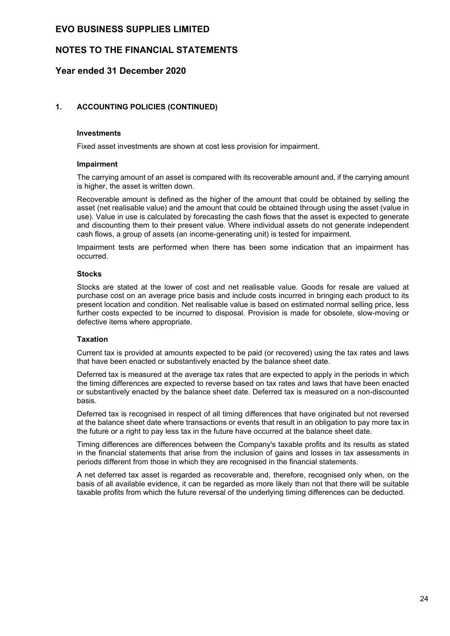# **NOTES TO THE FINANCIAL STATEMENTS**

### **Year ended 31 December 2020**

### **1. ACCOUNTING POLICIES (CONTINUED)**

#### **Investments**

Fixed asset investments are shown at cost less provision for impairment.

#### **Impairment**

The carrying amount of an asset is compared with its recoverable amount and, if the carrying amount is higher, the asset is written down.

Recoverable amount is defined as the higher of the amount that could be obtained by selling the asset (net realisable value) and the amount that could be obtained through using the asset (value in use). Value in use is calculated by forecasting the cash flows that the asset is expected to generate and discounting them to their present value. Where individual assets do not generate independent cash flows, a group of assets (an income-generating unit) is tested for impairment.

Impairment tests are performed when there has been some indication that an impairment has occurred.

#### **Stocks**

Stocks are stated at the lower of cost and net realisable value. Goods for resale are valued at purchase cost on an average price basis and include costs incurred in bringing each product to its present location and condition. Net realisable value is based on estimated normal selling price, less further costs expected to be incurred to disposal. Provision is made for obsolete, slow-moving or defective items where appropriate.

#### **Taxation**

Current tax is provided at amounts expected to be paid (or recovered) using the tax rates and laws that have been enacted or substantively enacted by the balance sheet date.

Deferred tax is measured at the average tax rates that are expected to apply in the periods in which the timing differences are expected to reverse based on tax rates and laws that have been enacted or substantively enacted by the balance sheet date. Deferred tax is measured on a non-discounted basis.

Deferred tax is recognised in respect of all timing differences that have originated but not reversed at the balance sheet date where transactions or events that result in an obligation to pay more tax in the future or a right to pay less tax in the future have occurred at the balance sheet date.

Timing differences are differences between the Company's taxable profits and its results as stated in the financial statements that arise from the inclusion of gains and losses in tax assessments in periods different from those in which they are recognised in the financial statements.

A net deferred tax asset is regarded as recoverable and, therefore, recognised only when, on the basis of all available evidence, it can be regarded as more likely than not that there will be suitable taxable profits from which the future reversal of the underlying timing differences can be deducted.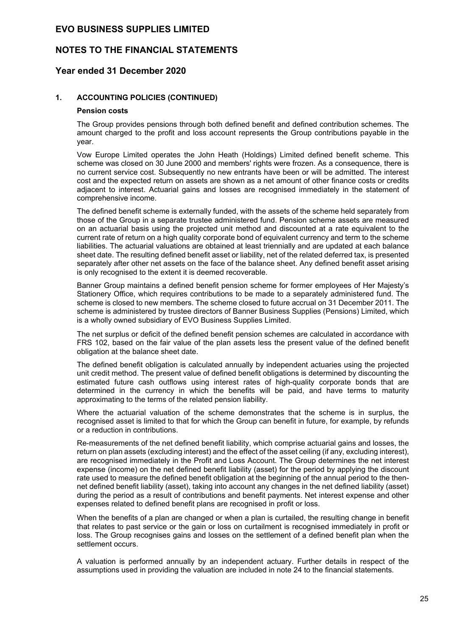### **NOTES TO THE FINANCIAL STATEMENTS**

### **Year ended 31 December 2020**

### **1. ACCOUNTING POLICIES (CONTINUED)**

#### **Pension costs**

The Group provides pensions through both defined benefit and defined contribution schemes. The amount charged to the profit and loss account represents the Group contributions payable in the year.

Vow Europe Limited operates the John Heath (Holdings) Limited defined benefit scheme. This scheme was closed on 30 June 2000 and members' rights were frozen. As a consequence, there is no current service cost. Subsequently no new entrants have been or will be admitted. The interest cost and the expected return on assets are shown as a net amount of other finance costs or credits adjacent to interest. Actuarial gains and losses are recognised immediately in the statement of comprehensive income.

The defined benefit scheme is externally funded, with the assets of the scheme held separately from those of the Group in a separate trustee administered fund. Pension scheme assets are measured on an actuarial basis using the projected unit method and discounted at a rate equivalent to the current rate of return on a high quality corporate bond of equivalent currency and term to the scheme liabilities. The actuarial valuations are obtained at least triennially and are updated at each balance sheet date. The resulting defined benefit asset or liability, net of the related deferred tax, is presented separately after other net assets on the face of the balance sheet. Any defined benefit asset arising is only recognised to the extent it is deemed recoverable.

Banner Group maintains a defined benefit pension scheme for former employees of Her Majesty's Stationery Office, which requires contributions to be made to a separately administered fund. The scheme is closed to new members. The scheme closed to future accrual on 31 December 2011. The scheme is administered by trustee directors of Banner Business Supplies (Pensions) Limited, which is a wholly owned subsidiary of EVO Business Supplies Limited.

The net surplus or deficit of the defined benefit pension schemes are calculated in accordance with FRS 102, based on the fair value of the plan assets less the present value of the defined benefit obligation at the balance sheet date.

The defined benefit obligation is calculated annually by independent actuaries using the projected unit credit method. The present value of defined benefit obligations is determined by discounting the estimated future cash outflows using interest rates of high-quality corporate bonds that are determined in the currency in which the benefits will be paid, and have terms to maturity approximating to the terms of the related pension liability.

Where the actuarial valuation of the scheme demonstrates that the scheme is in surplus, the recognised asset is limited to that for which the Group can benefit in future, for example, by refunds or a reduction in contributions.

Re-measurements of the net defined benefit liability, which comprise actuarial gains and losses, the return on plan assets (excluding interest) and the effect of the asset ceiling (if any, excluding interest), are recognised immediately in the Profit and Loss Account. The Group determines the net interest expense (income) on the net defined benefit liability (asset) for the period by applying the discount rate used to measure the defined benefit obligation at the beginning of the annual period to the thennet defined benefit liability (asset), taking into account any changes in the net defined liability (asset) during the period as a result of contributions and benefit payments. Net interest expense and other expenses related to defined benefit plans are recognised in profit or loss.

When the benefits of a plan are changed or when a plan is curtailed, the resulting change in benefit that relates to past service or the gain or loss on curtailment is recognised immediately in profit or loss. The Group recognises gains and losses on the settlement of a defined benefit plan when the settlement occurs.

A valuation is performed annually by an independent actuary. Further details in respect of the assumptions used in providing the valuation are included in note 24 to the financial statements.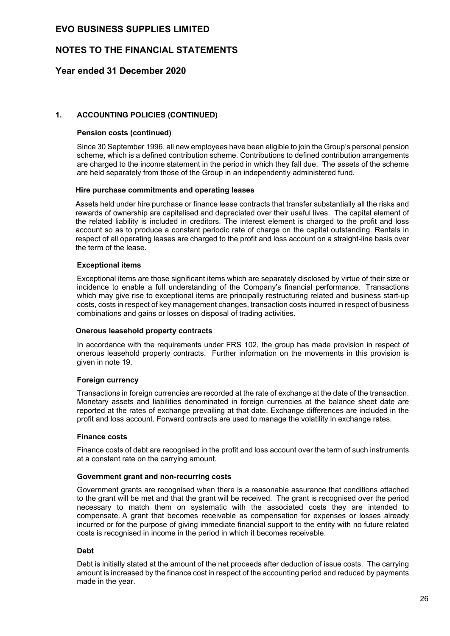# **NOTES TO THE FINANCIAL STATEMENTS**

### **Year ended 31 December 2020**

### **1. ACCOUNTING POLICIES (CONTINUED)**

#### **Pension costs (continued)**

Since 30 September 1996, all new employees have been eligible to join the Group's personal pension scheme, which is a defined contribution scheme. Contributions to defined contribution arrangements are charged to the income statement in the period in which they fall due. The assets of the scheme are held separately from those of the Group in an independently administered fund.

#### **Hire purchase commitments and operating leases**

Assets held under hire purchase or finance lease contracts that transfer substantially all the risks and rewards of ownership are capitalised and depreciated over their useful lives. The capital element of the related liability is included in creditors. The interest element is charged to the profit and loss account so as to produce a constant periodic rate of charge on the capital outstanding. Rentals in respect of all operating leases are charged to the profit and loss account on a straight-line basis over the term of the lease.

#### **Exceptional items**

Exceptional items are those significant items which are separately disclosed by virtue of their size or incidence to enable a full understanding of the Company's financial performance. Transactions which may give rise to exceptional items are principally restructuring related and business start-up costs, costs in respect of key management changes, transaction costs incurred in respect of business combinations and gains or losses on disposal of trading activities.

#### **Onerous leasehold property contracts**

In accordance with the requirements under FRS 102, the group has made provision in respect of onerous leasehold property contracts. Further information on the movements in this provision is given in note 19.

#### **Foreign currency**

Transactions in foreign currencies are recorded at the rate of exchange at the date of the transaction. Monetary assets and liabilities denominated in foreign currencies at the balance sheet date are reported at the rates of exchange prevailing at that date. Exchange differences are included in the profit and loss account. Forward contracts are used to manage the volatility in exchange rates.

#### **Finance costs**

Finance costs of debt are recognised in the profit and loss account over the term of such instruments at a constant rate on the carrying amount.

#### **Government grant and non-recurring costs**

Government grants are recognised when there is a reasonable assurance that conditions attached to the grant will be met and that the grant will be received. The grant is recognised over the period necessary to match them on systematic with the associated costs they are intended to compensate. A grant that becomes receivable as compensation for expenses or losses already incurred or for the purpose of giving immediate financial support to the entity with no future related costs is recognised in income in the period in which it becomes receivable.

#### **Debt**

Debt is initially stated at the amount of the net proceeds after deduction of issue costs. The carrying amount is increased by the finance cost in respect of the accounting period and reduced by payments made in the year.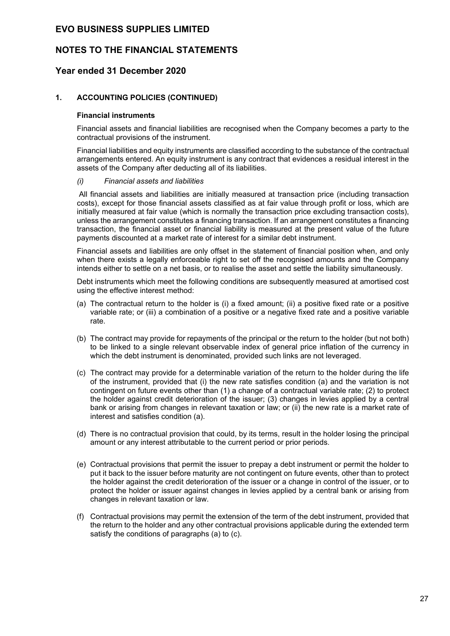# **NOTES TO THE FINANCIAL STATEMENTS**

### **Year ended 31 December 2020**

### **1. ACCOUNTING POLICIES (CONTINUED)**

#### **Financial instruments**

Financial assets and financial liabilities are recognised when the Company becomes a party to the contractual provisions of the instrument.

Financial liabilities and equity instruments are classified according to the substance of the contractual arrangements entered. An equity instrument is any contract that evidences a residual interest in the assets of the Company after deducting all of its liabilities.

#### *(i) Financial assets and liabilities*

 All financial assets and liabilities are initially measured at transaction price (including transaction costs), except for those financial assets classified as at fair value through profit or loss, which are initially measured at fair value (which is normally the transaction price excluding transaction costs), unless the arrangement constitutes a financing transaction. If an arrangement constitutes a financing transaction, the financial asset or financial liability is measured at the present value of the future payments discounted at a market rate of interest for a similar debt instrument.

Financial assets and liabilities are only offset in the statement of financial position when, and only when there exists a legally enforceable right to set off the recognised amounts and the Company intends either to settle on a net basis, or to realise the asset and settle the liability simultaneously.

Debt instruments which meet the following conditions are subsequently measured at amortised cost using the effective interest method:

- (a) The contractual return to the holder is (i) a fixed amount; (ii) a positive fixed rate or a positive variable rate; or (iii) a combination of a positive or a negative fixed rate and a positive variable rate.
- (b) The contract may provide for repayments of the principal or the return to the holder (but not both) to be linked to a single relevant observable index of general price inflation of the currency in which the debt instrument is denominated, provided such links are not leveraged.
- (c) The contract may provide for a determinable variation of the return to the holder during the life of the instrument, provided that (i) the new rate satisfies condition (a) and the variation is not contingent on future events other than (1) a change of a contractual variable rate; (2) to protect the holder against credit deterioration of the issuer; (3) changes in levies applied by a central bank or arising from changes in relevant taxation or law; or (ii) the new rate is a market rate of interest and satisfies condition (a).
- (d) There is no contractual provision that could, by its terms, result in the holder losing the principal amount or any interest attributable to the current period or prior periods.
- (e) Contractual provisions that permit the issuer to prepay a debt instrument or permit the holder to put it back to the issuer before maturity are not contingent on future events, other than to protect the holder against the credit deterioration of the issuer or a change in control of the issuer, or to protect the holder or issuer against changes in levies applied by a central bank or arising from changes in relevant taxation or law.
- (f) Contractual provisions may permit the extension of the term of the debt instrument, provided that the return to the holder and any other contractual provisions applicable during the extended term satisfy the conditions of paragraphs (a) to (c).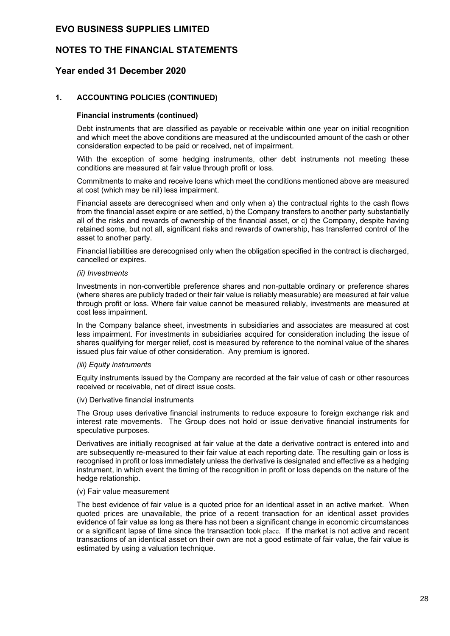# **NOTES TO THE FINANCIAL STATEMENTS**

### **Year ended 31 December 2020**

### **1. ACCOUNTING POLICIES (CONTINUED)**

#### **Financial instruments (continued)**

Debt instruments that are classified as payable or receivable within one year on initial recognition and which meet the above conditions are measured at the undiscounted amount of the cash or other consideration expected to be paid or received, net of impairment.

With the exception of some hedging instruments, other debt instruments not meeting these conditions are measured at fair value through profit or loss.

Commitments to make and receive loans which meet the conditions mentioned above are measured at cost (which may be nil) less impairment.

Financial assets are derecognised when and only when a) the contractual rights to the cash flows from the financial asset expire or are settled, b) the Company transfers to another party substantially all of the risks and rewards of ownership of the financial asset, or c) the Company, despite having retained some, but not all, significant risks and rewards of ownership, has transferred control of the asset to another party.

Financial liabilities are derecognised only when the obligation specified in the contract is discharged, cancelled or expires.

#### *(ii) Investments*

Investments in non-convertible preference shares and non-puttable ordinary or preference shares (where shares are publicly traded or their fair value is reliably measurable) are measured at fair value through profit or loss. Where fair value cannot be measured reliably, investments are measured at cost less impairment.

In the Company balance sheet, investments in subsidiaries and associates are measured at cost less impairment. For investments in subsidiaries acquired for consideration including the issue of shares qualifying for merger relief, cost is measured by reference to the nominal value of the shares issued plus fair value of other consideration. Any premium is ignored.

#### *(iii) Equity instruments*

Equity instruments issued by the Company are recorded at the fair value of cash or other resources received or receivable, net of direct issue costs.

#### (iv) Derivative financial instruments

The Group uses derivative financial instruments to reduce exposure to foreign exchange risk and interest rate movements. The Group does not hold or issue derivative financial instruments for speculative purposes.

Derivatives are initially recognised at fair value at the date a derivative contract is entered into and are subsequently re-measured to their fair value at each reporting date. The resulting gain or loss is recognised in profit or loss immediately unless the derivative is designated and effective as a hedging instrument, in which event the timing of the recognition in profit or loss depends on the nature of the hedge relationship.

#### (v) Fair value measurement

The best evidence of fair value is a quoted price for an identical asset in an active market. When quoted prices are unavailable, the price of a recent transaction for an identical asset provides evidence of fair value as long as there has not been a significant change in economic circumstances or a significant lapse of time since the transaction took place. If the market is not active and recent transactions of an identical asset on their own are not a good estimate of fair value, the fair value is estimated by using a valuation technique.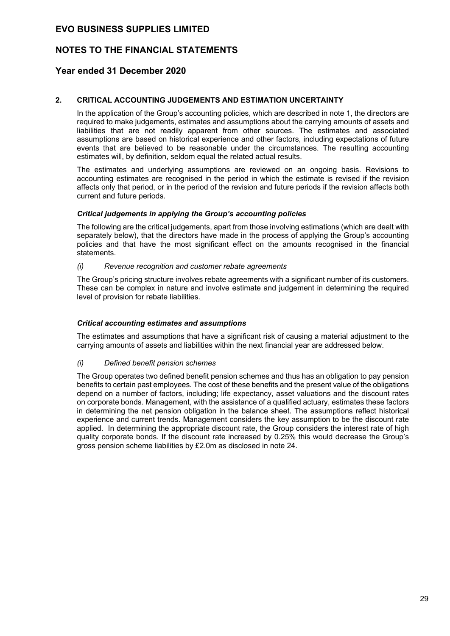# **NOTES TO THE FINANCIAL STATEMENTS**

### **Year ended 31 December 2020**

### **2. CRITICAL ACCOUNTING JUDGEMENTS AND ESTIMATION UNCERTAINTY**

In the application of the Group's accounting policies, which are described in note 1, the directors are required to make judgements, estimates and assumptions about the carrying amounts of assets and liabilities that are not readily apparent from other sources. The estimates and associated assumptions are based on historical experience and other factors, including expectations of future events that are believed to be reasonable under the circumstances. The resulting accounting estimates will, by definition, seldom equal the related actual results.

The estimates and underlying assumptions are reviewed on an ongoing basis. Revisions to accounting estimates are recognised in the period in which the estimate is revised if the revision affects only that period, or in the period of the revision and future periods if the revision affects both current and future periods.

#### *Critical judgements in applying the Group's accounting policies*

The following are the critical judgements, apart from those involving estimations (which are dealt with separately below), that the directors have made in the process of applying the Group's accounting policies and that have the most significant effect on the amounts recognised in the financial statements.

#### *(i) Revenue recognition and customer rebate agreements*

The Group's pricing structure involves rebate agreements with a significant number of its customers. These can be complex in nature and involve estimate and judgement in determining the required level of provision for rebate liabilities.

#### *Critical accounting estimates and assumptions*

The estimates and assumptions that have a significant risk of causing a material adjustment to the carrying amounts of assets and liabilities within the next financial year are addressed below.

*(i) Defined benefit pension schemes* 

The Group operates two defined benefit pension schemes and thus has an obligation to pay pension benefits to certain past employees. The cost of these benefits and the present value of the obligations depend on a number of factors, including; life expectancy, asset valuations and the discount rates on corporate bonds. Management, with the assistance of a qualified actuary, estimates these factors in determining the net pension obligation in the balance sheet. The assumptions reflect historical experience and current trends. Management considers the key assumption to be the discount rate applied. In determining the appropriate discount rate, the Group considers the interest rate of high quality corporate bonds. If the discount rate increased by 0.25% this would decrease the Group's gross pension scheme liabilities by £2.0m as disclosed in note 24.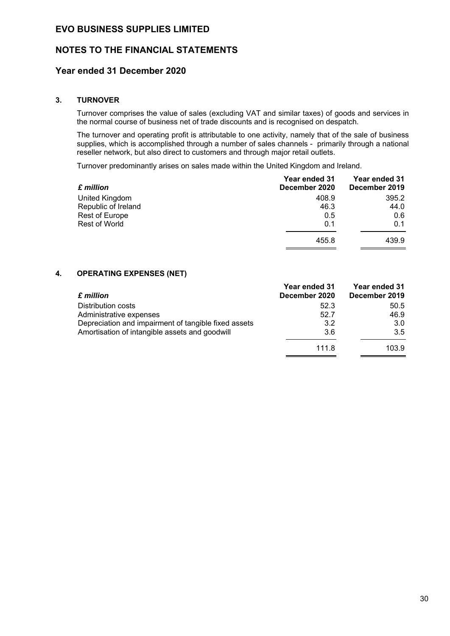# **NOTES TO THE FINANCIAL STATEMENTS**

### **Year ended 31 December 2020**

#### **3. TURNOVER**

Turnover comprises the value of sales (excluding VAT and similar taxes) of goods and services in the normal course of business net of trade discounts and is recognised on despatch.

The turnover and operating profit is attributable to one activity, namely that of the sale of business supplies, which is accomplished through a number of sales channels - primarily through a national reseller network, but also direct to customers and through major retail outlets.

Turnover predominantly arises on sales made within the United Kingdom and Ireland.

| £ million           | Year ended 31<br>December 2020 | Year ended 31<br>December 2019 |
|---------------------|--------------------------------|--------------------------------|
| United Kingdom      | 408.9                          | 395.2                          |
| Republic of Ireland | 46.3                           | 44.0                           |
| Rest of Europe      | 0.5                            | 0.6                            |
| Rest of World       | 0.1                            | 0.1                            |
|                     | 455.8                          | 439.9                          |

#### **4. OPERATING EXPENSES (NET)**

| £ million                                            | Year ended 31<br>December 2020 | Year ended 31<br>December 2019 |
|------------------------------------------------------|--------------------------------|--------------------------------|
| Distribution costs                                   | 52.3                           | 50.5                           |
| Administrative expenses                              | 52.7                           | 46.9                           |
| Depreciation and impairment of tangible fixed assets | 3.2                            | 3.0                            |
| Amortisation of intangible assets and goodwill       | 3.6                            | 3.5                            |
|                                                      | 111.8                          | 103.9                          |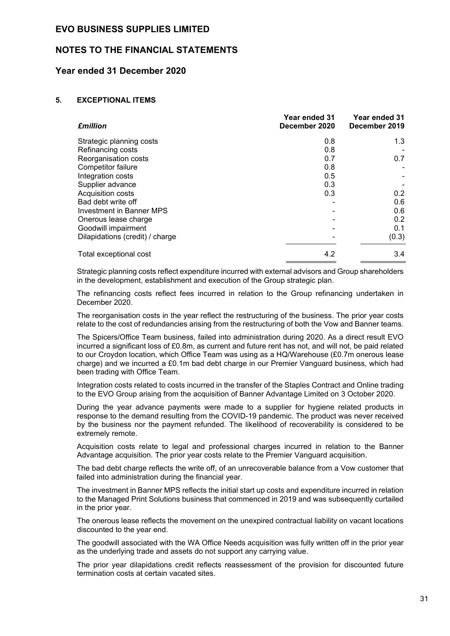### **NOTES TO THE FINANCIAL STATEMENTS**

### **Year ended 31 December 2020**

#### **5. EXCEPTIONAL ITEMS**

| <b>£million</b>                 | Year ended 31<br>December 2020 | Year ended 31<br>December 2019 |
|---------------------------------|--------------------------------|--------------------------------|
| Strategic planning costs        | 0.8                            | 1.3                            |
| Refinancing costs               | 0.8                            |                                |
| Reorganisation costs            | 0.7                            | 0.7                            |
| Competitor failure              | 0.8                            |                                |
| Integration costs               | 0.5                            |                                |
| Supplier advance                | 0.3                            |                                |
| Acquisition costs               | 0.3                            | 0.2 <sub>0</sub>               |
| Bad debt write off              |                                | 0.6                            |
| Investment in Banner MPS        |                                | 0.6                            |
| Onerous lease charge            |                                | 0.2                            |
| Goodwill impairment             | -                              | 0.1                            |
| Dilapidations (credit) / charge |                                | (0.3)                          |
| Total exceptional cost          | 4.2                            | 3.4                            |

Strategic planning costs reflect expenditure incurred with external advisors and Group shareholders in the development, establishment and execution of the Group strategic plan.

The refinancing costs reflect fees incurred in relation to the Group refinancing undertaken in December 2020.

The reorganisation costs in the year reflect the restructuring of the business. The prior year costs relate to the cost of redundancies arising from the restructuring of both the Vow and Banner teams.

The Spicers/Office Team business, failed into administration during 2020. As a direct result EVO incurred a significant loss of £0.8m, as current and future rent has not, and will not, be paid related to our Croydon location, which Office Team was using as a HQ/Warehouse (£0.7m onerous lease charge) and we incurred a £0.1m bad debt charge in our Premier Vanguard business, which had been trading with Office Team.

Integration costs related to costs incurred in the transfer of the Staples Contract and Online trading to the EVO Group arising from the acquisition of Banner Advantage Limited on 3 October 2020.

During the year advance payments were made to a supplier for hygiene related products in response to the demand resulting from the COVID-19 pandemic. The product was never received by the business nor the payment refunded. The likelihood of recoverability is considered to be extremely remote.

Acquisition costs relate to legal and professional charges incurred in relation to the Banner Advantage acquisition. The prior year costs relate to the Premier Vanguard acquisition.

The bad debt charge reflects the write off, of an unrecoverable balance from a Vow customer that failed into administration during the financial year.

The investment in Banner MPS reflects the initial start up costs and expenditure incurred in relation to the Managed Print Solutions business that commenced in 2019 and was subsequently curtailed in the prior year.

The onerous lease reflects the movement on the unexpired contractual liability on vacant locations discounted to the year end.

The goodwill associated with the WA Office Needs acquisition was fully written off in the prior year as the underlying trade and assets do not support any carrying value.

The prior year dilapidations credit reflects reassessment of the provision for discounted future termination costs at certain vacated sites.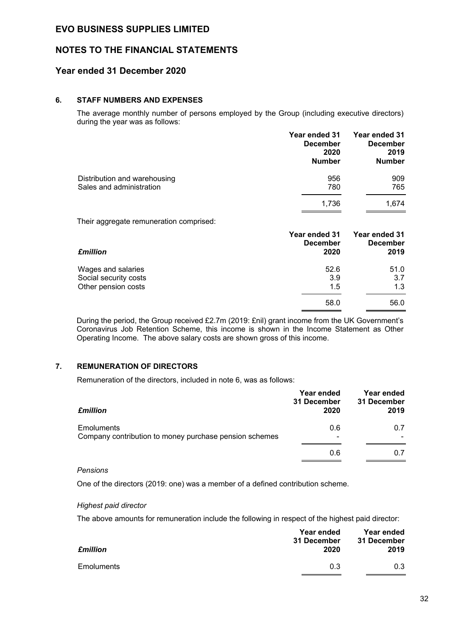# **NOTES TO THE FINANCIAL STATEMENTS**

### **Year ended 31 December 2020**

#### **6. STAFF NUMBERS AND EXPENSES**

The average monthly number of persons employed by the Group (including executive directors) during the year was as follows:

|                              | Year ended 31<br><b>December</b><br>2020<br><b>Number</b> | Year ended 31<br><b>December</b><br>2019<br><b>Number</b> |
|------------------------------|-----------------------------------------------------------|-----------------------------------------------------------|
| Distribution and warehousing | 956                                                       | 909                                                       |
| Sales and administration     | 780                                                       | 765                                                       |
|                              | 1.736                                                     | 1.674                                                     |

Their aggregate remuneration comprised:

| <b>£million</b>                                                    | Year ended 31<br><b>December</b><br>2020 | Year ended 31<br><b>December</b><br>2019 |
|--------------------------------------------------------------------|------------------------------------------|------------------------------------------|
| Wages and salaries<br>Social security costs<br>Other pension costs | 52.6<br>3.9<br>1.5                       | 51.0<br>3.7<br>1.3                       |
|                                                                    | 58.0                                     | 56.0                                     |

During the period, the Group received £2.7m (2019: £nil) grant income from the UK Government's Coronavirus Job Retention Scheme, this income is shown in the Income Statement as Other Operating Income. The above salary costs are shown gross of this income.

#### **7. REMUNERATION OF DIRECTORS**

Remuneration of the directors, included in note 6, was as follows:

| <b>£million</b>                                                             | Year ended<br>31 December<br>2020 | Year ended<br>31 December<br>2019 |
|-----------------------------------------------------------------------------|-----------------------------------|-----------------------------------|
| <b>Emoluments</b><br>Company contribution to money purchase pension schemes | 0.6<br>$\overline{\phantom{0}}$   | 0.7                               |
|                                                                             | 0.6                               | 0.7                               |

#### *Pensions*

One of the directors (2019: one) was a member of a defined contribution scheme.

#### *Highest paid director*

The above amounts for remuneration include the following in respect of the highest paid director:

| <b>£million</b>   | Year ended<br>31 December<br>2020 | <b>Year ended</b><br>31 December<br>2019 |
|-------------------|-----------------------------------|------------------------------------------|
| <b>Emoluments</b> | 0.3                               | 0.3                                      |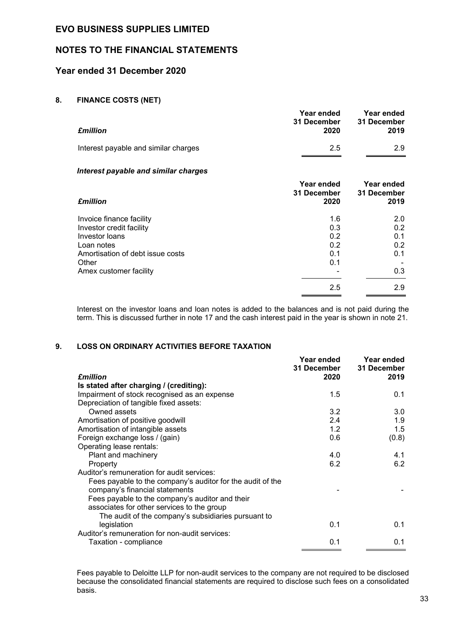# **NOTES TO THE FINANCIAL STATEMENTS**

# **Year ended 31 December 2020**

### **8. FINANCE COSTS (NET)**

| Year ended<br>31 December<br>2020      | Year ended<br>31 December<br>2019             |
|----------------------------------------|-----------------------------------------------|
| 2.5                                    | 2.9                                           |
|                                        |                                               |
| Year ended<br>31 December<br>2020      | Year ended<br>31 December<br>2019             |
| 1.6<br>0.3<br>0.2<br>0.2<br>0.1<br>0.1 | 2.0<br>0.2<br>0.1<br>0.2<br>0.1<br>0.3<br>2.9 |
|                                        | 2.5                                           |

Interest on the investor loans and loan notes is added to the balances and is not paid during the term. This is discussed further in note 17 and the cash interest paid in the year is shown in note 21.

### **9. LOSS ON ORDINARY ACTIVITIES BEFORE TAXATION**

|                                                            | Year ended<br><b>31 December</b> | Year ended<br>31 December |
|------------------------------------------------------------|----------------------------------|---------------------------|
| <b>£million</b>                                            | 2020                             | 2019                      |
| Is stated after charging / (crediting):                    |                                  |                           |
| Impairment of stock recognised as an expense               | 1.5                              | 0.1                       |
| Depreciation of tangible fixed assets:                     |                                  |                           |
| Owned assets                                               | 3.2                              | 3.0                       |
| Amortisation of positive goodwill                          | 2.4                              | 1.9                       |
| Amortisation of intangible assets                          | 1.2                              | 1.5                       |
| Foreign exchange loss / (gain)                             | 0.6                              | (0.8)                     |
| Operating lease rentals:                                   |                                  |                           |
| Plant and machinery                                        | 4.0                              | 4.1                       |
| Property                                                   | 6.2                              | 6.2                       |
| Auditor's remuneration for audit services:                 |                                  |                           |
| Fees payable to the company's auditor for the audit of the |                                  |                           |
| company's financial statements                             |                                  |                           |
| Fees payable to the company's auditor and their            |                                  |                           |
| associates for other services to the group                 |                                  |                           |
| The audit of the company's subsidiaries pursuant to        |                                  |                           |
| legislation                                                | 0.1                              | 0.1                       |
| Auditor's remuneration for non-audit services:             |                                  |                           |
| Taxation - compliance                                      | 0.1                              | 0.1                       |

Fees payable to Deloitte LLP for non-audit services to the company are not required to be disclosed because the consolidated financial statements are required to disclose such fees on a consolidated basis.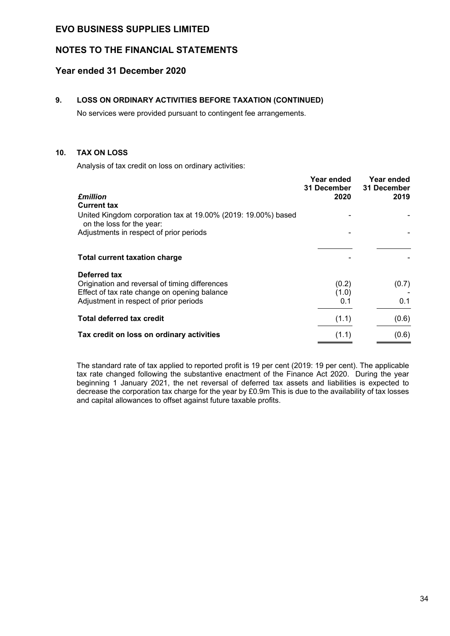# **NOTES TO THE FINANCIAL STATEMENTS**

### **Year ended 31 December 2020**

### **9. LOSS ON ORDINARY ACTIVITIES BEFORE TAXATION (CONTINUED)**

No services were provided pursuant to contingent fee arrangements.

### **10. TAX ON LOSS**

Analysis of tax credit on loss on ordinary activities:

| <b>£million</b>                                                                                                                          | Year ended<br><b>31 December</b><br>2020 | Year ended<br>31 December<br>2019 |
|------------------------------------------------------------------------------------------------------------------------------------------|------------------------------------------|-----------------------------------|
| <b>Current tax</b><br>United Kingdom corporation tax at 19.00% (2019: 19.00%) based<br>on the loss for the year:                         |                                          |                                   |
| Adjustments in respect of prior periods<br><b>Total current taxation charge</b>                                                          |                                          |                                   |
| Deferred tax                                                                                                                             |                                          |                                   |
| Origination and reversal of timing differences<br>Effect of tax rate change on opening balance<br>Adjustment in respect of prior periods | (0.2)<br>(1.0)<br>0.1                    | (0.7)<br>0.1                      |
| <b>Total deferred tax credit</b>                                                                                                         | (1.1)                                    | (0.6)                             |
| Tax credit on loss on ordinary activities                                                                                                | (1.1)                                    | (0.6)                             |

The standard rate of tax applied to reported profit is 19 per cent (2019: 19 per cent). The applicable tax rate changed following the substantive enactment of the Finance Act 2020. During the year beginning 1 January 2021, the net reversal of deferred tax assets and liabilities is expected to decrease the corporation tax charge for the year by £0.9m This is due to the availability of tax losses and capital allowances to offset against future taxable profits.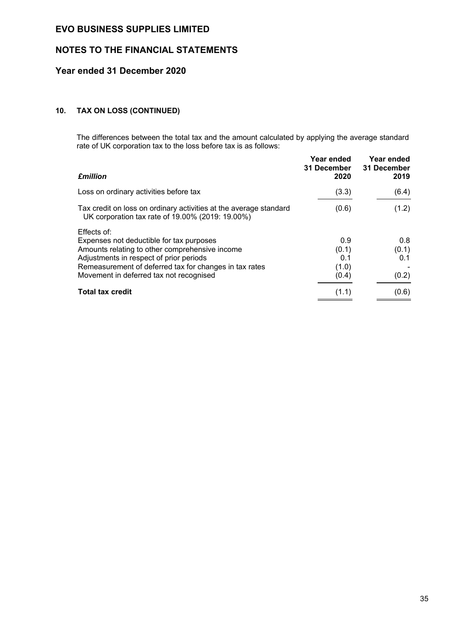# **NOTES TO THE FINANCIAL STATEMENTS**

# **Year ended 31 December 2020**

### **10. TAX ON LOSS (CONTINUED)**

The differences between the total tax and the amount calculated by applying the average standard rate of UK corporation tax to the loss before tax is as follows:

| <b>£million</b>                                                                                                                                                                                                                                           | Year ended<br>31 December<br>2020     | Year ended<br>31 December<br>2019 |
|-----------------------------------------------------------------------------------------------------------------------------------------------------------------------------------------------------------------------------------------------------------|---------------------------------------|-----------------------------------|
| Loss on ordinary activities before tax                                                                                                                                                                                                                    | (3.3)                                 | (6.4)                             |
| Tax credit on loss on ordinary activities at the average standard<br>UK corporation tax rate of 19.00% (2019: 19.00%)                                                                                                                                     | (0.6)                                 | (1.2)                             |
| Effects of:<br>Expenses not deductible for tax purposes<br>Amounts relating to other comprehensive income<br>Adjustments in respect of prior periods<br>Remeasurement of deferred tax for changes in tax rates<br>Movement in deferred tax not recognised | 0.9<br>(0.1)<br>0.1<br>(1.0)<br>(0.4) | 0.8<br>(0.1)<br>0.1<br>(0.2)      |
| <b>Total tax credit</b>                                                                                                                                                                                                                                   | (1.1)                                 | (0.6)                             |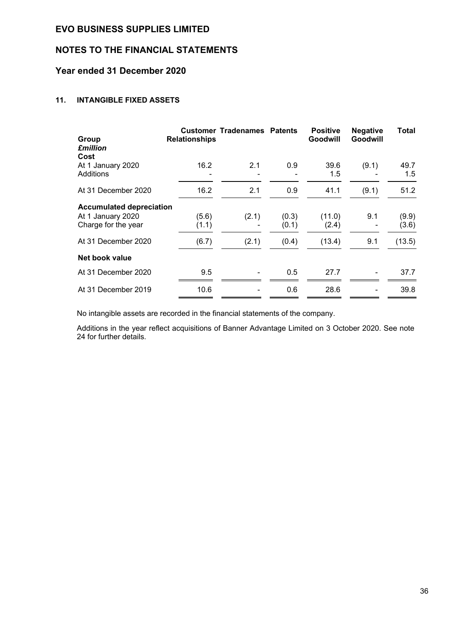# **NOTES TO THE FINANCIAL STATEMENTS**

# **Year ended 31 December 2020**

### **11. INTANGIBLE FIXED ASSETS**

| Group<br><b>£million</b>                 | <b>Relationships</b> | <b>Customer Tradenames Patents</b> |                | <b>Positive</b><br>Goodwill | <b>Negative</b><br>Goodwill  | Total          |
|------------------------------------------|----------------------|------------------------------------|----------------|-----------------------------|------------------------------|----------------|
| Cost<br>At 1 January 2020<br>Additions   | 16.2                 | 2.1                                | 0.9            | 39.6<br>1.5                 | (9.1)                        | 49.7<br>1.5    |
| At 31 December 2020                      | 16.2                 | 2.1                                | 0.9            | 41.1                        | (9.1)                        | 51.2           |
| <b>Accumulated depreciation</b>          |                      |                                    |                |                             |                              |                |
| At 1 January 2020<br>Charge for the year | (5.6)<br>(1.1)       | (2.1)                              | (0.3)<br>(0.1) | (11.0)<br>(2.4)             | 9.1                          | (9.9)<br>(3.6) |
| At 31 December 2020                      | (6.7)                | (2.1)                              | (0.4)          | (13.4)                      | 9.1                          | (13.5)         |
| Net book value                           |                      |                                    |                |                             |                              |                |
| At 31 December 2020                      | 9.5                  |                                    | 0.5            | 27.7                        | $\qquad \qquad \blacksquare$ | 37.7           |
| At 31 December 2019                      | 10.6                 |                                    | 0.6            | 28.6                        |                              | 39.8           |
|                                          |                      |                                    |                |                             |                              |                |

No intangible assets are recorded in the financial statements of the company.

Additions in the year reflect acquisitions of Banner Advantage Limited on 3 October 2020. See note 24 for further details.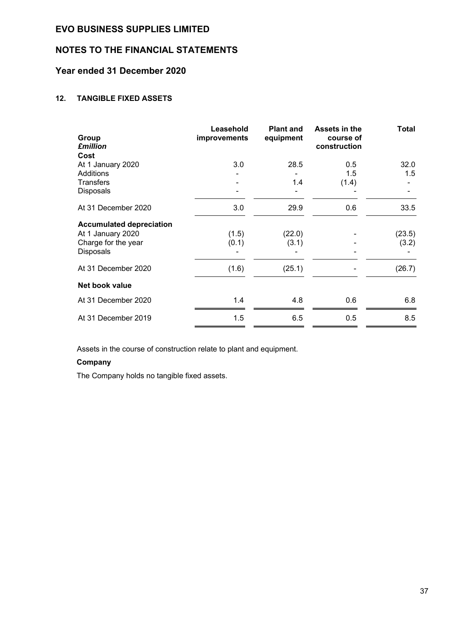# **NOTES TO THE FINANCIAL STATEMENTS**

# **Year ended 31 December 2020**

### **12. TANGIBLE FIXED ASSETS**

| Group<br><b>£million</b>        | Leasehold<br>improvements | <b>Plant and</b><br>equipment | Assets in the<br>course of<br>construction | <b>Total</b> |
|---------------------------------|---------------------------|-------------------------------|--------------------------------------------|--------------|
| Cost                            |                           |                               |                                            |              |
| At 1 January 2020               | 3.0                       | 28.5                          | 0.5                                        | 32.0         |
| <b>Additions</b>                |                           |                               | 1.5                                        | 1.5          |
| Transfers                       |                           | 1.4                           | (1.4)                                      |              |
| Disposals                       |                           |                               |                                            |              |
| At 31 December 2020             | 3.0                       | 29.9                          | 0.6                                        | 33.5         |
| <b>Accumulated depreciation</b> |                           |                               |                                            |              |
| At 1 January 2020               | (1.5)                     | (22.0)                        |                                            | (23.5)       |
| Charge for the year             | (0.1)                     | (3.1)                         |                                            | (3.2)        |
| Disposals                       |                           |                               |                                            |              |
| At 31 December 2020             | (1.6)                     | (25.1)                        |                                            | (26.7)       |
| Net book value                  |                           |                               |                                            |              |
| At 31 December 2020             | 1.4                       | 4.8                           | 0.6                                        | 6.8          |
| At 31 December 2019             | 1.5                       | 6.5                           | 0.5                                        | 8.5          |
|                                 |                           |                               |                                            |              |

Assets in the course of construction relate to plant and equipment.

### **Company**

The Company holds no tangible fixed assets.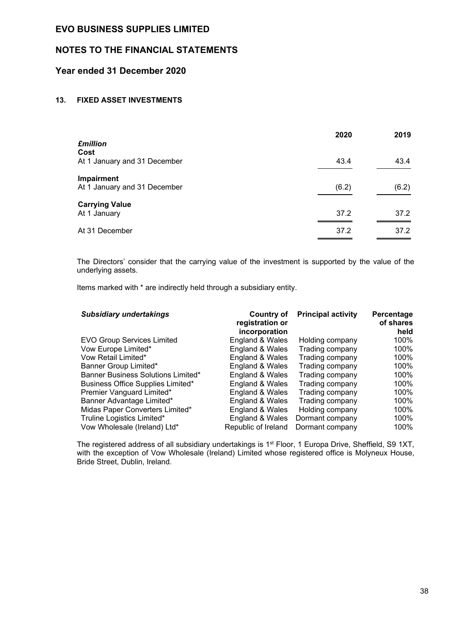# **NOTES TO THE FINANCIAL STATEMENTS**

### **Year ended 31 December 2020**

### **13. FIXED ASSET INVESTMENTS**

| <b>£million</b>                            | 2020  | 2019  |
|--------------------------------------------|-------|-------|
| Cost<br>At 1 January and 31 December       | 43.4  | 43.4  |
| Impairment<br>At 1 January and 31 December | (6.2) | (6.2) |
| <b>Carrying Value</b><br>At 1 January      | 37.2  | 37.2  |
| At 31 December                             | 37.2  | 37.2  |

The Directors' consider that the carrying value of the investment is supported by the value of the underlying assets.

Items marked with \* are indirectly held through a subsidiary entity.

| <b>Subsidiary undertakings</b>     | <b>Country of</b><br>registration or<br>incorporation | <b>Principal activity</b> | Percentage<br>of shares<br>held |
|------------------------------------|-------------------------------------------------------|---------------------------|---------------------------------|
| <b>EVO Group Services Limited</b>  | England & Wales                                       | Holding company           | 100%                            |
| Vow Europe Limited*                | England & Wales                                       | Trading company           | 100%                            |
| Vow Retail Limited*                | England & Wales                                       | Trading company           | 100%                            |
| Banner Group Limited*              | England & Wales                                       | Trading company           | 100%                            |
| Banner Business Solutions Limited* | England & Wales                                       | Trading company           | 100%                            |
| Business Office Supplies Limited*  | England & Wales                                       | Trading company           | 100%                            |
| Premier Vanguard Limited*          | England & Wales                                       | Trading company           | 100%                            |
| Banner Advantage Limited*          | England & Wales                                       | Trading company           | 100%                            |
| Midas Paper Converters Limited*    | England & Wales                                       | Holding company           | 100%                            |
| Truline Logistics Limited*         | England & Wales                                       | Dormant company           | 100%                            |
| Vow Wholesale (Ireland) Ltd*       | Republic of Ireland                                   | Dormant company           | 100%                            |

The registered address of all subsidiary undertakings is 1<sup>st</sup> Floor, 1 Europa Drive, Sheffield, S9 1XT, with the exception of Vow Wholesale (Ireland) Limited whose registered office is Molyneux House, Bride Street, Dublin, Ireland.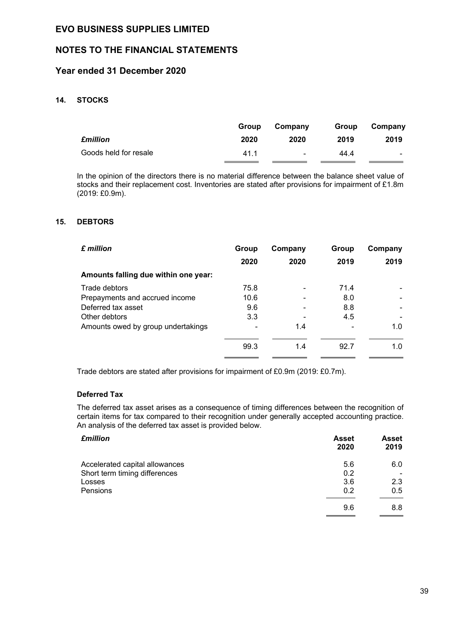# **NOTES TO THE FINANCIAL STATEMENTS**

# **Year ended 31 December 2020**

### **14. STOCKS**

|                       | Group | Company        | Group | Company |
|-----------------------|-------|----------------|-------|---------|
| <b>£million</b>       | 2020  | 2020           | 2019  | 2019    |
| Goods held for resale | 41.1  | $\blacksquare$ | 44.4  | $\sim$  |

In the opinion of the directors there is no material difference between the balance sheet value of stocks and their replacement cost. Inventories are stated after provisions for impairment of £1.8m (2019: £0.9m).

### **15. DEBTORS**

| £ million                            | Group | Company | Group | Company |
|--------------------------------------|-------|---------|-------|---------|
|                                      | 2020  | 2020    | 2019  | 2019    |
| Amounts falling due within one year: |       |         |       |         |
| Trade debtors                        | 75.8  |         | 71.4  |         |
| Prepayments and accrued income       | 10.6  |         | 8.0   |         |
| Deferred tax asset                   | 9.6   |         | 8.8   |         |
| Other debtors                        | 3.3   |         | 4.5   |         |
| Amounts owed by group undertakings   |       | 1.4     |       | 1.0     |
|                                      | 99.3  | 1.4     | 92.7  | 1.0     |

Trade debtors are stated after provisions for impairment of £0.9m (2019: £0.7m).

#### **Deferred Tax**

The deferred tax asset arises as a consequence of timing differences between the recognition of certain items for tax compared to their recognition under generally accepted accounting practice. An analysis of the deferred tax asset is provided below.

| <b>£million</b>                | <b>Asset</b><br>2020 | <b>Asset</b><br>2019 |
|--------------------------------|----------------------|----------------------|
| Accelerated capital allowances | 5.6                  | 6.0                  |
| Short term timing differences  | 0.2                  |                      |
| Losses                         | 3.6                  | 2.3                  |
| Pensions                       | 0.2                  | 0.5                  |
|                                | 9.6                  | 8.8                  |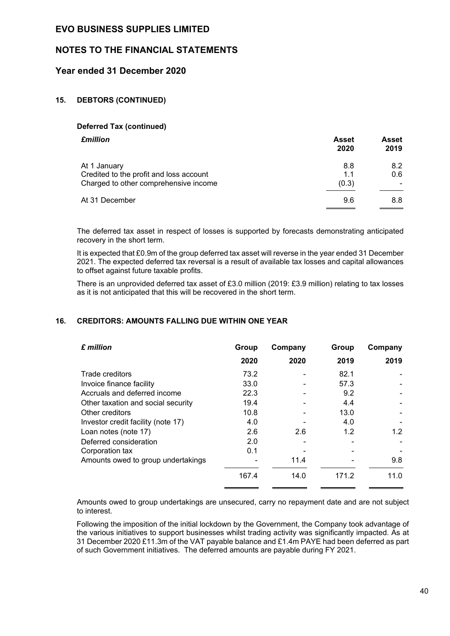# **NOTES TO THE FINANCIAL STATEMENTS**

### **Year ended 31 December 2020**

### **15. DEBTORS (CONTINUED)**

#### **Deferred Tax (continued)**

| <b>£million</b>                                                                                  | <b>Asset</b><br>2020 | Asset<br>2019 |
|--------------------------------------------------------------------------------------------------|----------------------|---------------|
| At 1 January<br>Credited to the profit and loss account<br>Charged to other comprehensive income | 8.8<br>1.1<br>(0.3)  | 8.2<br>0.6    |
| At 31 December                                                                                   | 9.6                  | 8.8           |

The deferred tax asset in respect of losses is supported by forecasts demonstrating anticipated recovery in the short term.

It is expected that £0.9m of the group deferred tax asset will reverse in the year ended 31 December 2021. The expected deferred tax reversal is a result of available tax losses and capital allowances to offset against future taxable profits.

There is an unprovided deferred tax asset of £3.0 million (2019: £3.9 million) relating to tax losses as it is not anticipated that this will be recovered in the short term.

### **16. CREDITORS: AMOUNTS FALLING DUE WITHIN ONE YEAR**

| £ million                          | Group | Company | Group | Company          |
|------------------------------------|-------|---------|-------|------------------|
|                                    | 2020  | 2020    | 2019  | 2019             |
| Trade creditors                    | 73.2  |         | 82.1  |                  |
| Invoice finance facility           | 33.0  |         | 57.3  |                  |
| Accruals and deferred income       | 22.3  |         | 9.2   |                  |
| Other taxation and social security | 19.4  |         | 4.4   |                  |
| Other creditors                    | 10.8  |         | 13.0  |                  |
| Investor credit facility (note 17) | 4.0   |         | 4.0   |                  |
| Loan notes (note 17)               | 2.6   | 2.6     | 1.2   | 1.2 <sub>1</sub> |
| Deferred consideration             | 2.0   |         |       |                  |
| Corporation tax                    | 0.1   |         |       |                  |
| Amounts owed to group undertakings |       | 11.4    |       | 9.8              |
|                                    | 167.4 | 14.0    | 171.2 | 11.0             |

Amounts owed to group undertakings are unsecured, carry no repayment date and are not subject to interest.

Following the imposition of the initial lockdown by the Government, the Company took advantage of the various initiatives to support businesses whilst trading activity was significantly impacted. As at 31 December 2020 £11.3m of the VAT payable balance and £1.4m PAYE had been deferred as part of such Government initiatives. The deferred amounts are payable during FY 2021.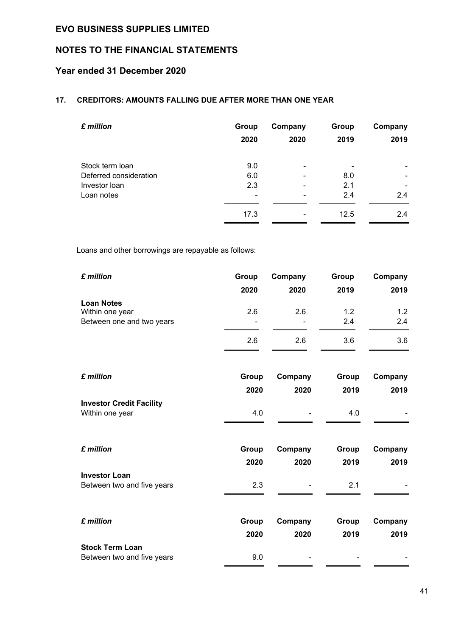# **NOTES TO THE FINANCIAL STATEMENTS**

# **Year ended 31 December 2020**

### **17. CREDITORS: AMOUNTS FALLING DUE AFTER MORE THAN ONE YEAR**

| £ million              | Group          | Company                  | Group | Company |
|------------------------|----------------|--------------------------|-------|---------|
|                        | 2020           | 2020                     | 2019  | 2019    |
| Stock term loan        | 9.0            | -                        |       |         |
| Deferred consideration | 6.0            |                          | 8.0   |         |
| Investor Ioan          | 2.3            | $\overline{\phantom{0}}$ | 2.1   | -       |
| Loan notes             | $\blacksquare$ | $\overline{\phantom{0}}$ | 2.4   | 2.4     |
|                        | 17.3           |                          | 12.5  | 2.4     |

Loans and other borrowings are repayable as follows:

| £ million                 | Group | Company | Group | Company |
|---------------------------|-------|---------|-------|---------|
|                           | 2020  | 2020    | 2019  | 2019    |
| <b>Loan Notes</b>         |       |         |       |         |
| Within one year           | 2.6   | 2.6     | 1.2   | 1.2     |
| Between one and two years | ۰     | ۰       | 2.4   | 2.4     |
|                           | 2.6   | 2.6     | 3.6   | 3.6     |
|                           |       |         |       |         |
| £ million                 | Group | Company | Group | Company |
|                           | 2020  | 2020    | 2019  | 2019    |

| <b>Investor Credit Facility</b> |     |        |     |        |
|---------------------------------|-----|--------|-----|--------|
| Within one year                 | 4.0 | $\sim$ | 4 O | $\sim$ |
|                                 |     |        |     |        |
|                                 |     |        |     |        |

| £ million                  | Group | Company | Group                    | Company |  |
|----------------------------|-------|---------|--------------------------|---------|--|
|                            | 2020  | 2020    | 2019                     | 2019    |  |
| <b>Investor Loan</b>       |       |         |                          |         |  |
| Between two and five years | 2.3   |         | 2.1                      |         |  |
|                            |       |         |                          |         |  |
| £ million                  | Group | Company | Group                    | Company |  |
|                            | 2020  | 2020    | 2019                     | 2019    |  |
| <b>Stock Term Loan</b>     |       |         |                          |         |  |
| Between two and five years | 9.0   |         | $\overline{\phantom{0}}$ |         |  |
|                            |       |         |                          |         |  |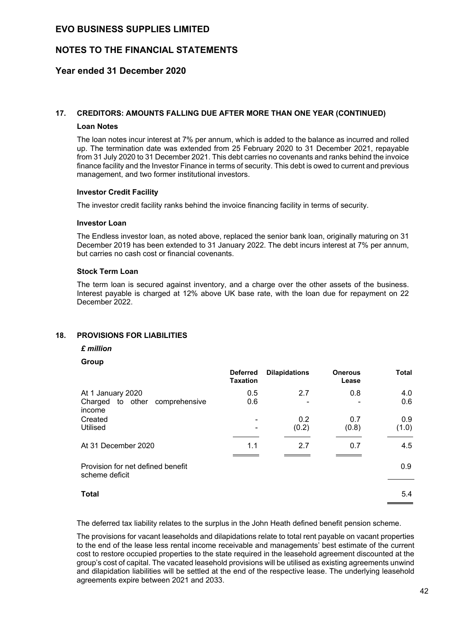### **NOTES TO THE FINANCIAL STATEMENTS**

### **Year ended 31 December 2020**

#### **17. CREDITORS: AMOUNTS FALLING DUE AFTER MORE THAN ONE YEAR (CONTINUED)**

#### **Loan Notes**

The loan notes incur interest at 7% per annum, which is added to the balance as incurred and rolled up. The termination date was extended from 25 February 2020 to 31 December 2021, repayable from 31 July 2020 to 31 December 2021. This debt carries no covenants and ranks behind the invoice finance facility and the Investor Finance in terms of security. This debt is owed to current and previous management, and two former institutional investors.

#### **Investor Credit Facility**

The investor credit facility ranks behind the invoice financing facility in terms of security.

#### **Investor Loan**

The Endless investor loan, as noted above, replaced the senior bank loan, originally maturing on 31 December 2019 has been extended to 31 January 2022. The debt incurs interest at 7% per annum, but carries no cash cost or financial covenants.

#### **Stock Term Loan**

The term loan is secured against inventory, and a charge over the other assets of the business. Interest payable is charged at 12% above UK base rate, with the loan due for repayment on 22 December 2022.

#### **18. PROVISIONS FOR LIABILITIES**

#### *£ million*

#### **Group**

|                                                               | <b>Deferred</b><br><b>Taxation</b> | <b>Dilapidations</b> | <b>Onerous</b><br>Lease | <b>Total</b> |
|---------------------------------------------------------------|------------------------------------|----------------------|-------------------------|--------------|
| At 1 January 2020<br>Charged to other comprehensive<br>income | 0.5<br>0.6                         | 2.7                  | 0.8                     | 4.0<br>0.6   |
| Created<br>Utilised                                           | $\blacksquare$                     | 0.2<br>(0.2)         | 0.7<br>(0.8)            | 0.9<br>(1.0) |
| At 31 December 2020                                           | 1.1                                | 2.7                  | 0.7                     | 4.5          |
| Provision for net defined benefit<br>scheme deficit           |                                    |                      |                         | 0.9          |
| <b>Total</b>                                                  |                                    |                      |                         | 5.4          |

The deferred tax liability relates to the surplus in the John Heath defined benefit pension scheme.

The provisions for vacant leaseholds and dilapidations relate to total rent payable on vacant properties to the end of the lease less rental income receivable and managements' best estimate of the current cost to restore occupied properties to the state required in the leasehold agreement discounted at the group's cost of capital. The vacated leasehold provisions will be utilised as existing agreements unwind and dilapidation liabilities will be settled at the end of the respective lease. The underlying leasehold agreements expire between 2021 and 2033.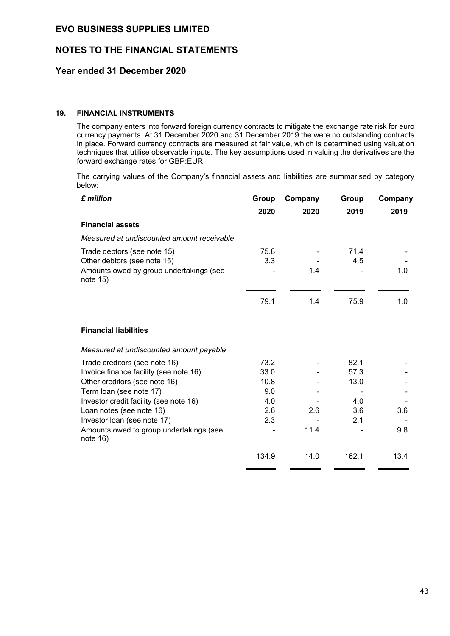### **NOTES TO THE FINANCIAL STATEMENTS**

### **Year ended 31 December 2020**

#### **19. FINANCIAL INSTRUMENTS**

The company enters into forward foreign currency contracts to mitigate the exchange rate risk for euro currency payments. At 31 December 2020 and 31 December 2019 the were no outstanding contracts in place. Forward currency contracts are measured at fair value, which is determined using valuation techniques that utilise observable inputs. The key assumptions used in valuing the derivatives are the forward exchange rates for GBP:EUR.

The carrying values of the Company's financial assets and liabilities are summarised by category below:

| £ million                                             | Group | Company | Group | Company |
|-------------------------------------------------------|-------|---------|-------|---------|
|                                                       | 2020  | 2020    | 2019  | 2019    |
| <b>Financial assets</b>                               |       |         |       |         |
| Measured at undiscounted amount receivable            |       |         |       |         |
| Trade debtors (see note 15)                           | 75.8  |         | 71.4  |         |
| Other debtors (see note 15)                           | 3.3   |         | 4.5   |         |
| Amounts owed by group undertakings (see<br>note $15)$ |       | 1.4     |       | 1.0     |
|                                                       | 79.1  | 1.4     | 75.9  | 1.0     |
| <b>Financial liabilities</b>                          |       |         |       |         |
| Measured at undiscounted amount payable               |       |         |       |         |
| Trade creditors (see note 16)                         | 73.2  |         | 82.1  |         |
| Invoice finance facility (see note 16)                | 33.0  |         | 57.3  |         |
| Other creditors (see note 16)                         | 10.8  |         | 13.0  |         |
| Term loan (see note 17)                               | 9.0   |         |       |         |
| Investor credit facility (see note 16)                | 4.0   |         | 4.0   |         |
| Loan notes (see note 16)                              | 2.6   | 2.6     | 3.6   | 3.6     |
| Investor loan (see note 17)                           | 2.3   |         | 2.1   |         |
| Amounts owed to group undertakings (see<br>note $16)$ |       | 11.4    |       | 9.8     |
|                                                       | 134.9 | 14.0    | 162.1 | 13.4    |
|                                                       |       |         |       |         |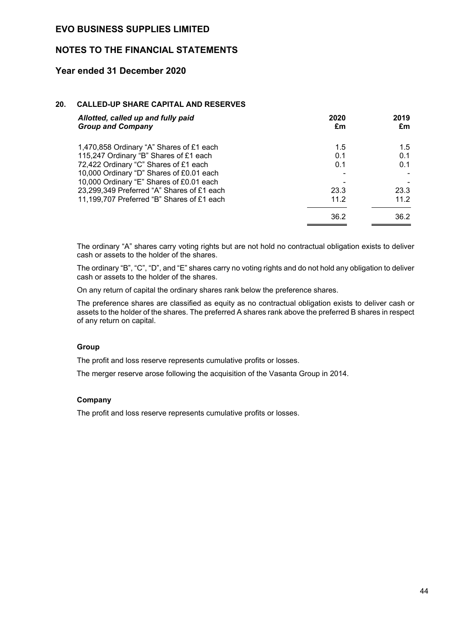### **NOTES TO THE FINANCIAL STATEMENTS**

### **Year ended 31 December 2020**

#### **20. CALLED-UP SHARE CAPITAL AND RESERVES**

| 2020<br>£m | 2019<br>£m |
|------------|------------|
| 1.5        | 1.5        |
| 0.1        | 0.1        |
| 0.1        | 0.1        |
|            |            |
|            |            |
| 23.3       | 23.3       |
| 11.2       | 11.2       |
| 36.2       | 36.2       |
|            |            |

The ordinary "A" shares carry voting rights but are not hold no contractual obligation exists to deliver cash or assets to the holder of the shares.

The ordinary "B", "C", "D", and "E" shares carry no voting rights and do not hold any obligation to deliver cash or assets to the holder of the shares.

On any return of capital the ordinary shares rank below the preference shares.

The preference shares are classified as equity as no contractual obligation exists to deliver cash or assets to the holder of the shares. The preferred A shares rank above the preferred B shares in respect of any return on capital.

#### **Group**

The profit and loss reserve represents cumulative profits or losses.

The merger reserve arose following the acquisition of the Vasanta Group in 2014.

#### **Company**

The profit and loss reserve represents cumulative profits or losses.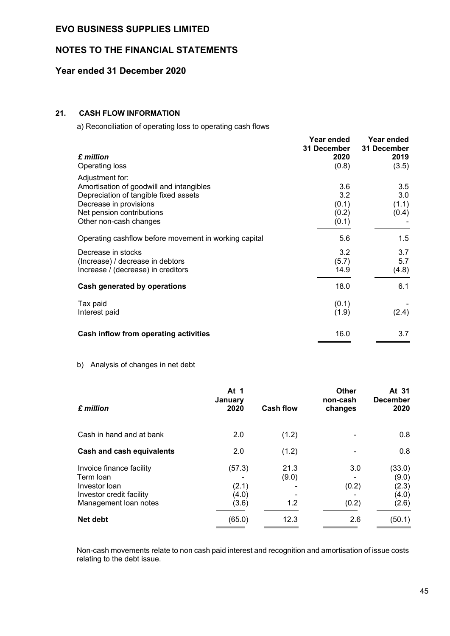# **NOTES TO THE FINANCIAL STATEMENTS**

# **Year ended 31 December 2020**

### **21. CASH FLOW INFORMATION**

a) Reconciliation of operating loss to operating cash flows

|                                                       | Year ended<br><b>31 December</b> | Year ended<br>31 December |
|-------------------------------------------------------|----------------------------------|---------------------------|
| £ million                                             | 2020                             | 2019                      |
| Operating loss                                        | (0.8)                            | (3.5)                     |
| Adjustment for:                                       |                                  |                           |
| Amortisation of goodwill and intangibles              | 3.6                              | 3.5                       |
| Depreciation of tangible fixed assets                 | 3.2                              | 3.0                       |
| Decrease in provisions                                | (0.1)                            | (1.1)                     |
| Net pension contributions                             | (0.2)                            | (0.4)                     |
| Other non-cash changes                                | (0.1)                            |                           |
| Operating cashflow before movement in working capital | 5.6                              | $1.5\,$                   |
| Decrease in stocks                                    | 3.2                              | 3.7                       |
| (Increase) / decrease in debtors                      | (5.7)                            | 5.7                       |
| Increase / (decrease) in creditors                    | 14.9                             | (4.8)                     |
| Cash generated by operations                          | 18.0                             | 6.1                       |
| Tax paid                                              | (0.1)                            |                           |
| Interest paid                                         | (1.9)                            | (2.4)                     |
| Cash inflow from operating activities                 | 16.0                             | 3.7                       |
|                                                       |                                  |                           |

b) Analysis of changes in net debt

| £ million                                                                                                   | At $1$<br>January<br>2020         | <b>Cash flow</b>     | <b>Other</b><br>non-cash<br>changes | At 31<br><b>December</b><br>2020           |
|-------------------------------------------------------------------------------------------------------------|-----------------------------------|----------------------|-------------------------------------|--------------------------------------------|
| Cash in hand and at bank                                                                                    | 2.0                               | (1.2)                |                                     | 0.8                                        |
| Cash and cash equivalents                                                                                   | 2.0                               | (1.2)                |                                     | 0.8                                        |
| Invoice finance facility<br>Term loan<br>Investor Ioan<br>Investor credit facility<br>Management loan notes | (57.3)<br>(2.1)<br>(4.0)<br>(3.6) | 21.3<br>(9.0)<br>1.2 | 3.0<br>(0.2)<br>(0.2)               | (33.0)<br>(9.0)<br>(2.3)<br>(4.0)<br>(2.6) |
| Net debt                                                                                                    | (65.0)                            | 12.3                 | 2.6                                 | (50.1)                                     |

Non-cash movements relate to non cash paid interest and recognition and amortisation of issue costs relating to the debt issue.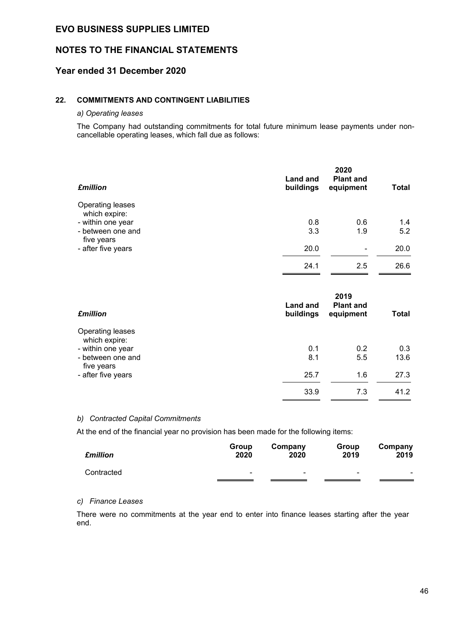# **NOTES TO THE FINANCIAL STATEMENTS**

### **Year ended 31 December 2020**

#### **22. COMMITMENTS AND CONTINGENT LIABILITIES**

#### *a) Operating leases*

The Company had outstanding commitments for total future minimum lease payments under noncancellable operating leases, which fall due as follows:

| <b>£million</b>                                      | Land and<br>buildings | 2020<br><b>Plant and</b><br>equipment | <b>Total</b> |
|------------------------------------------------------|-----------------------|---------------------------------------|--------------|
| <b>Operating leases</b><br>which expire:             |                       |                                       |              |
| - within one year<br>- between one and<br>five years | 0.8<br>3.3            | 0.6<br>1.9                            | 1.4<br>5.2   |
| - after five years                                   | 20.0                  | -                                     | 20.0         |
|                                                      | 24.1                  | 2.5                                   | 26.6         |

| <b>£million</b>                          | <b>Land and</b><br>buildings | 2019<br><b>Plant and</b><br>equipment | Total |
|------------------------------------------|------------------------------|---------------------------------------|-------|
| <b>Operating leases</b><br>which expire: |                              |                                       |       |
| - within one year                        | 0.1                          | 0.2                                   | 0.3   |
| - between one and<br>five years          | 8.1                          | 5.5                                   | 13.6  |
| - after five years                       | 25.7                         | 1.6                                   | 27.3  |
|                                          | 33.9                         | 7.3                                   | 41.2  |

#### *b) Contracted Capital Commitments*

At the end of the financial year no provision has been made for the following items:

| £million   | Group                    | Company        | Group          | Company |
|------------|--------------------------|----------------|----------------|---------|
|            | 2020                     | 2020           | 2019           | 2019    |
| Contracted | $\overline{\phantom{0}}$ | $\blacksquare$ | $\blacksquare$ | $\sim$  |

#### *c) Finance Leases*

There were no commitments at the year end to enter into finance leases starting after the year end.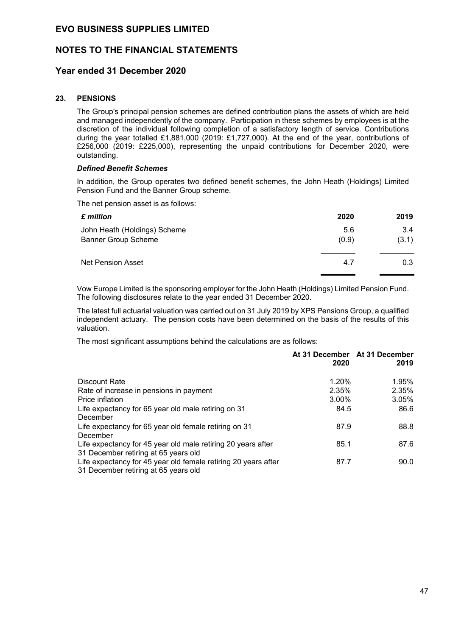# **NOTES TO THE FINANCIAL STATEMENTS**

### **Year ended 31 December 2020**

#### **23. PENSIONS**

The Group's principal pension schemes are defined contribution plans the assets of which are held and managed independently of the company. Participation in these schemes by employees is at the discretion of the individual following completion of a satisfactory length of service. Contributions during the year totalled £1,881,000 (2019: £1,727,000). At the end of the year, contributions of £256,000 (2019: £225,000), representing the unpaid contributions for December 2020, were outstanding.

#### *Defined Benefit Schemes*

In addition, the Group operates two defined benefit schemes, the John Heath (Holdings) Limited Pension Fund and the Banner Group scheme.

The net pension asset is as follows:

| £ million                    | 2020  | 2019  |
|------------------------------|-------|-------|
| John Heath (Holdings) Scheme | 5.6   | 3.4   |
| <b>Banner Group Scheme</b>   | (0.9) | (3.1) |
| Net Pension Asset            | 4.7   | 0.3   |
|                              |       |       |

Vow Europe Limited is the sponsoring employer for the John Heath (Holdings) Limited Pension Fund. The following disclosures relate to the year ended 31 December 2020.

The latest full actuarial valuation was carried out on 31 July 2019 by XPS Pensions Group, a qualified independent actuary. The pension costs have been determined on the basis of the results of this valuation.

The most significant assumptions behind the calculations are as follows:

|                                                                                                        | At 31 December At 31 December<br>2020 | 2019  |
|--------------------------------------------------------------------------------------------------------|---------------------------------------|-------|
| Discount Rate                                                                                          | 1.20%                                 | 1.95% |
| Rate of increase in pensions in payment                                                                | 2.35%                                 | 2.35% |
| Price inflation                                                                                        | 3.00%                                 | 3.05% |
| Life expectancy for 65 year old male retiring on 31<br>December                                        | 84.5                                  | 86.6  |
| Life expectancy for 65 year old female retiring on 31<br>December                                      | 87.9                                  | 88.8  |
| Life expectancy for 45 year old male retiring 20 years after<br>31 December retiring at 65 years old   | 85.1                                  | 87.6  |
| Life expectancy for 45 year old female retiring 20 years after<br>31 December retiring at 65 years old | 87.7                                  | 90.0  |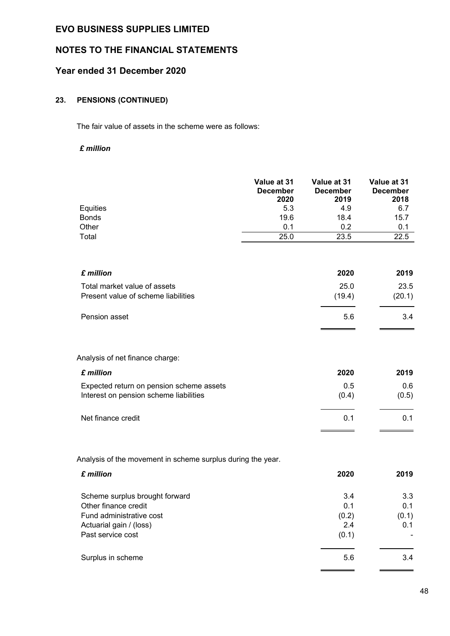# **NOTES TO THE FINANCIAL STATEMENTS**

# **Year ended 31 December 2020**

### **23. PENSIONS (CONTINUED)**

The fair value of assets in the scheme were as follows:

### *£ million*

|              | Value at 31<br><b>December</b><br>2020 | Value at 31<br><b>December</b><br>2019 | Value at 31<br><b>December</b><br>2018 |
|--------------|----------------------------------------|----------------------------------------|----------------------------------------|
| Equities     | 5.3                                    | 4.9                                    | 6.7                                    |
| <b>Bonds</b> | 19.6                                   | 18.4                                   | 15.7                                   |
| Other        | 0.1                                    | 0.2                                    | 0.1                                    |
| Total        | 25.0                                   | 23.5                                   | 22.5                                   |
|              |                                        |                                        |                                        |
|              |                                        |                                        |                                        |

| £ million                           | 2020   | 2019   |
|-------------------------------------|--------|--------|
| Total market value of assets        | 25.0   | 23.5   |
| Present value of scheme liabilities | (19.4) | (20.1) |
| <b>Pension asset</b>                | 5.6    | 3.4    |

Analysis of net finance charge:

| £ million                                                                          | 2020         | 2019         |
|------------------------------------------------------------------------------------|--------------|--------------|
| Expected return on pension scheme assets<br>Interest on pension scheme liabilities | 0.5<br>(0.4) | 0.6<br>(0.5) |
| Net finance credit                                                                 | . በ 1        | 0 1          |

Analysis of the movement in scheme surplus during the year.

| £ million                      | 2020  | 2019  |
|--------------------------------|-------|-------|
| Scheme surplus brought forward | 3.4   | 3.3   |
| Other finance credit           | 0.1   | 0.1   |
| Fund administrative cost       | (0.2) | (0.1) |
| Actuarial gain / (loss)        | 2.4   | 0.1   |
| Past service cost              | (0.1) |       |
| Surplus in scheme              | 5.6   | 3.4   |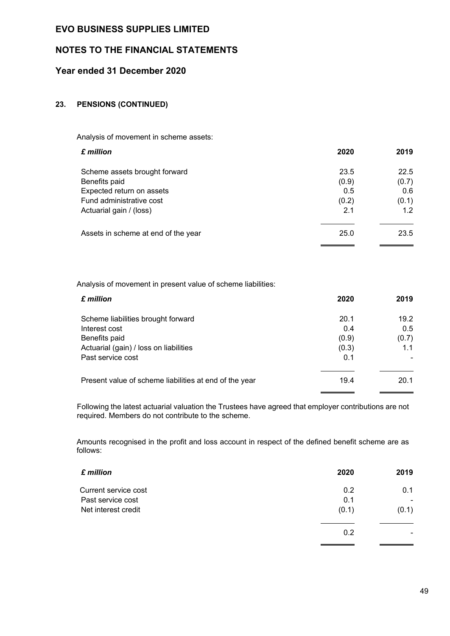# **NOTES TO THE FINANCIAL STATEMENTS**

# **Year ended 31 December 2020**

### **23. PENSIONS (CONTINUED)**

Analysis of movement in scheme assets:

| £ million                           | 2020  | 2019  |
|-------------------------------------|-------|-------|
| Scheme assets brought forward       | 23.5  | 22.5  |
| Benefits paid                       | (0.9) | (0.7) |
| Expected return on assets           | 0.5   | 0.6   |
| Fund administrative cost            | (0.2) | (0.1) |
| Actuarial gain / (loss)             | 2.1   | 1.2   |
| Assets in scheme at end of the year | 25.0  | 23.5  |

Analysis of movement in present value of scheme liabilities:

| £ million                                              | 2020  | 2019  |
|--------------------------------------------------------|-------|-------|
| Scheme liabilities brought forward                     | 20.1  | 19.2  |
| Interest cost                                          | 0.4   | 0.5   |
| Benefits paid                                          | (0.9) | (0.7) |
| Actuarial (gain) / loss on liabilities                 | (0.3) | 1.1   |
| Past service cost                                      | 0.1   |       |
| Present value of scheme liabilities at end of the year | 19.4  | 20.1  |

Following the latest actuarial valuation the Trustees have agreed that employer contributions are not required. Members do not contribute to the scheme.

Amounts recognised in the profit and loss account in respect of the defined benefit scheme are as follows:

| £ million            | 2020  | 2019  |
|----------------------|-------|-------|
| Current service cost | 0.2   | 0.1   |
| Past service cost    | 0.1   | -     |
| Net interest credit  | (0.1) | (0.1) |
|                      | 0.2   |       |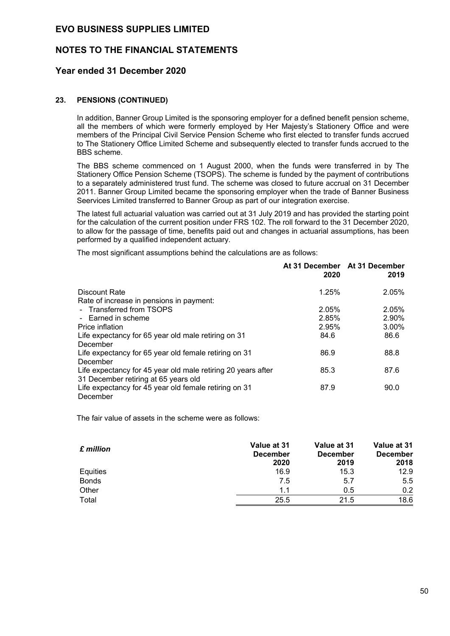### **NOTES TO THE FINANCIAL STATEMENTS**

### **Year ended 31 December 2020**

#### **23. PENSIONS (CONTINUED)**

In addition, Banner Group Limited is the sponsoring employer for a defined benefit pension scheme, all the members of which were formerly employed by Her Majesty's Stationery Office and were members of the Principal Civil Service Pension Scheme who first elected to transfer funds accrued to The Stationery Office Limited Scheme and subsequently elected to transfer funds accrued to the BBS scheme.

The BBS scheme commenced on 1 August 2000, when the funds were transferred in by The Stationery Office Pension Scheme (TSOPS). The scheme is funded by the payment of contributions to a separately administered trust fund. The scheme was closed to future accrual on 31 December 2011. Banner Group Limited became the sponsoring employer when the trade of Banner Business Seervices Limited transferred to Banner Group as part of our integration exercise.

The latest full actuarial valuation was carried out at 31 July 2019 and has provided the starting point for the calculation of the current position under FRS 102. The roll forward to the 31 December 2020, to allow for the passage of time, benefits paid out and changes in actuarial assumptions, has been performed by a qualified independent actuary.

The most significant assumptions behind the calculations are as follows:

| 1.25% | 2.05% |
|-------|-------|
|       |       |
|       | 2.05% |
| 2.85% | 2.90% |
| 2.95% | 3.00% |
| 84.6  | 86.6  |
| 86.9  | 88.8  |
| 85.3  | 87.6  |
| 87.9  | 90.0  |
|       | 2.05% |

The fair value of assets in the scheme were as follows:

| £ million    | Value at 31<br><b>December</b><br>2020 | Value at 31<br><b>December</b><br>2019 | Value at 31<br><b>December</b><br>2018 |
|--------------|----------------------------------------|----------------------------------------|----------------------------------------|
| Equities     | 16.9                                   | 15.3                                   | 12.9                                   |
| <b>Bonds</b> | 7.5                                    | 5.7                                    | 5.5                                    |
| Other        | 1.1                                    | 0.5                                    | 0.2                                    |
| Total        | 25.5                                   | 21.5                                   | 18.6                                   |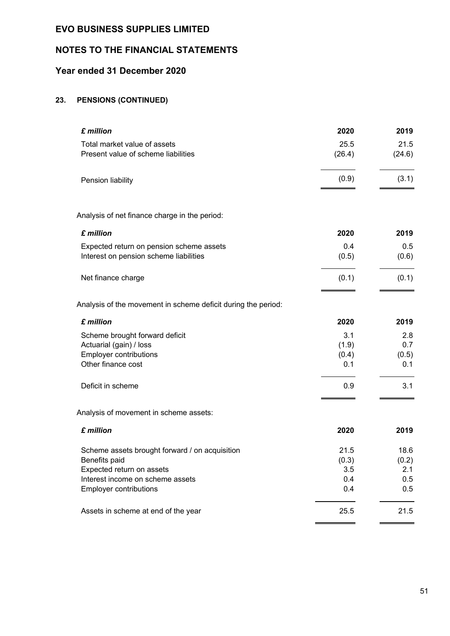# **NOTES TO THE FINANCIAL STATEMENTS**

# **Year ended 31 December 2020**

# **23. PENSIONS (CONTINUED)**

| £ million                                                     | 2020   | 2019   |
|---------------------------------------------------------------|--------|--------|
| Total market value of assets                                  | 25.5   | 21.5   |
| Present value of scheme liabilities                           | (26.4) | (24.6) |
| Pension liability                                             | (0.9)  | (3.1)  |
| Analysis of net finance charge in the period:                 |        |        |
| £ million                                                     | 2020   | 2019   |
| Expected return on pension scheme assets                      | 0.4    | 0.5    |
| Interest on pension scheme liabilities                        | (0.5)  | (0.6)  |
| Net finance charge                                            | (0.1)  | (0.1)  |
| Analysis of the movement in scheme deficit during the period: |        |        |
| £ million                                                     | 2020   | 2019   |
| Scheme brought forward deficit                                | 3.1    | 2.8    |
| Actuarial (gain) / loss                                       | (1.9)  | 0.7    |
| <b>Employer contributions</b>                                 | (0.4)  | (0.5)  |
| Other finance cost                                            | 0.1    | 0.1    |
| Deficit in scheme                                             | 0.9    | 3.1    |
| Analysis of movement in scheme assets:                        |        |        |
| £ million                                                     | 2020   | 2019   |
| Scheme assets brought forward / on acquisition                | 21.5   | 18.6   |
| Benefits paid                                                 | (0.3)  | (0.2)  |
| Expected return on assets                                     | 3.5    | 2.1    |
| Interest income on scheme assets                              | 0.4    | 0.5    |
| Employer contributions                                        | 0.4    | 0.5    |
| Assets in scheme at end of the year                           | 25.5   | 21.5   |
|                                                               |        |        |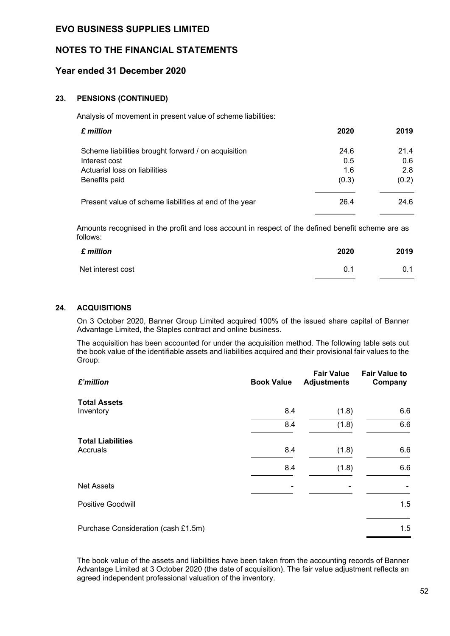# **NOTES TO THE FINANCIAL STATEMENTS**

# **Year ended 31 December 2020**

### **23. PENSIONS (CONTINUED)**

Analysis of movement in present value of scheme liabilities:

| £ million                                              | 2020  | 2019  |
|--------------------------------------------------------|-------|-------|
| Scheme liabilities brought forward / on acquisition    | 24.6  | 21.4  |
| Interest cost                                          | 0.5   | 0.6   |
| Actuarial loss on liabilities                          | 1.6   | 2.8   |
| Benefits paid                                          | (0.3) | (0.2) |
| Present value of scheme liabilities at end of the year | 26.4  | 24.6  |

Amounts recognised in the profit and loss account in respect of the defined benefit scheme are as follows:

| £ million         | 2020 | 2019 |
|-------------------|------|------|
| Net interest cost | 0.1  | 0.1  |
|                   |      |      |

#### **24. ACQUISITIONS**

On 3 October 2020, Banner Group Limited acquired 100% of the issued share capital of Banner Advantage Limited, the Staples contract and online business.

The acquisition has been accounted for under the acquisition method. The following table sets out the book value of the identifiable assets and liabilities acquired and their provisional fair values to the Group:

| <b>Book Value</b> | <b>Fair Value</b><br><b>Adjustments</b> | <b>Fair Value to</b><br>Company |
|-------------------|-----------------------------------------|---------------------------------|
|                   |                                         | 6.6                             |
| 8.4               | (1.8)                                   | 6.6                             |
| 8.4               | (1.8)                                   | 6.6                             |
| 8.4               | (1.8)                                   | 6.6                             |
|                   |                                         |                                 |
|                   |                                         | 1.5                             |
|                   |                                         | 1.5                             |
|                   | 8.4                                     | (1.8)                           |

The book value of the assets and liabilities have been taken from the accounting records of Banner Advantage Limited at 3 October 2020 (the date of acquisition). The fair value adjustment reflects an agreed independent professional valuation of the inventory.